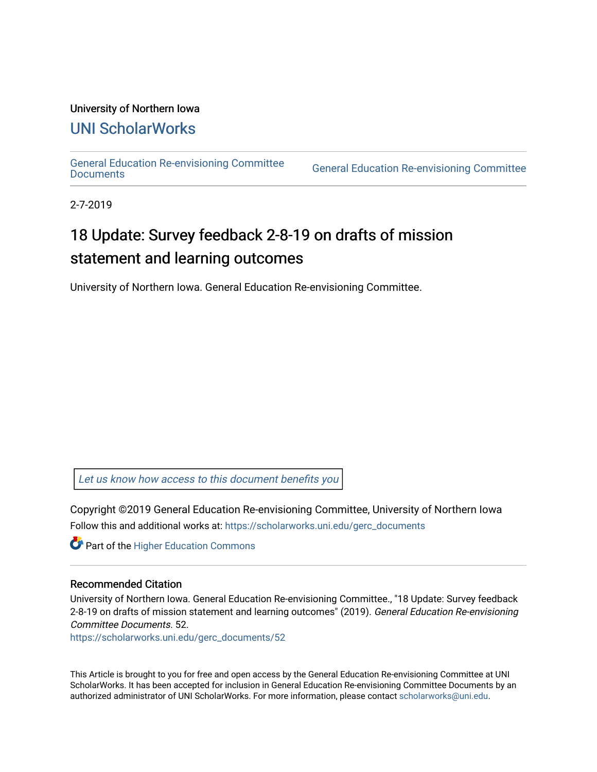#### University of Northern Iowa

# [UNI ScholarWorks](https://scholarworks.uni.edu/)

[General Education Re-envisioning Committee](https://scholarworks.uni.edu/gerc_documents) 

**General Education Re-envisioning Committee** 

2-7-2019

# 18 Update: Survey feedback 2-8-19 on drafts of mission statement and learning outcomes

University of Northern Iowa. General Education Re-envisioning Committee.

[Let us know how access to this document benefits you](https://scholarworks.uni.edu/feedback_form.html) 

Copyright ©2019 General Education Re-envisioning Committee, University of Northern Iowa Follow this and additional works at: [https://scholarworks.uni.edu/gerc\\_documents](https://scholarworks.uni.edu/gerc_documents?utm_source=scholarworks.uni.edu%2Fgerc_documents%2F52&utm_medium=PDF&utm_campaign=PDFCoverPages)

**Part of the Higher Education Commons** 

#### Recommended Citation

University of Northern Iowa. General Education Re-envisioning Committee., "18 Update: Survey feedback 2-8-19 on drafts of mission statement and learning outcomes" (2019). General Education Re-envisioning Committee Documents. 52.

[https://scholarworks.uni.edu/gerc\\_documents/52](https://scholarworks.uni.edu/gerc_documents/52?utm_source=scholarworks.uni.edu%2Fgerc_documents%2F52&utm_medium=PDF&utm_campaign=PDFCoverPages) 

This Article is brought to you for free and open access by the General Education Re-envisioning Committee at UNI ScholarWorks. It has been accepted for inclusion in General Education Re-envisioning Committee Documents by an authorized administrator of UNI ScholarWorks. For more information, please contact [scholarworks@uni.edu.](mailto:scholarworks@uni.edu)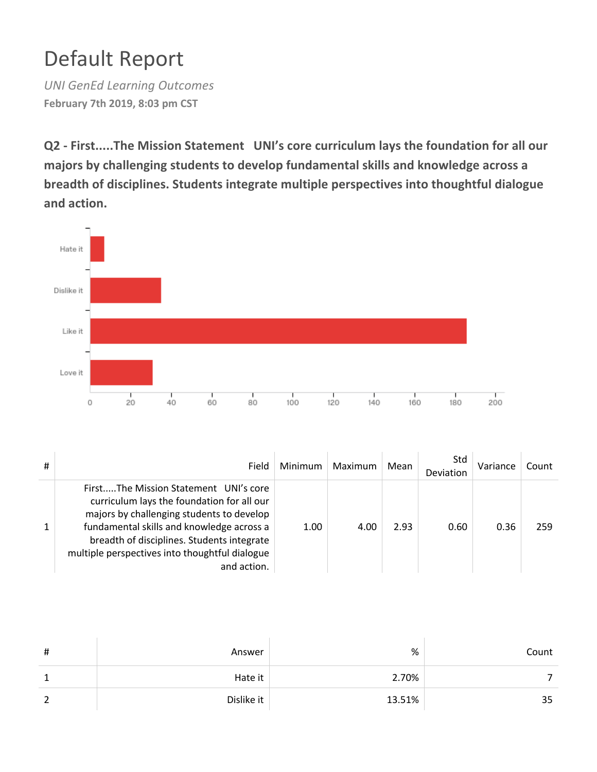# Default Report

*UNI GenEd Learning Outcomes* **February 7th 2019, 8:03 pm CST**

**Q2 - First.....The Mission Statement UNI's core curriculum lays the foundation for all our majors by challenging students to develop fundamental skills and knowledge across a breadth of disciplines. Students integrate multiple perspectives into thoughtful dialogue and action.**



| # | Field                                                                                                                                                                                                                                                                                        | Minimum | Maximum | Mean | Std<br>Deviation | Variance | Count |
|---|----------------------------------------------------------------------------------------------------------------------------------------------------------------------------------------------------------------------------------------------------------------------------------------------|---------|---------|------|------------------|----------|-------|
|   | FirstThe Mission Statement UNI's core<br>curriculum lays the foundation for all our<br>majors by challenging students to develop<br>fundamental skills and knowledge across a<br>breadth of disciplines. Students integrate<br>multiple perspectives into thoughtful dialogue<br>and action. | 1.00    | 4.00    | 2.93 | 0.60             | 0.36     | 259   |

| # | Answer     | %      | Count |
|---|------------|--------|-------|
| 1 | Hate it    | 2.70%  |       |
|   | Dislike it | 13.51% | 35    |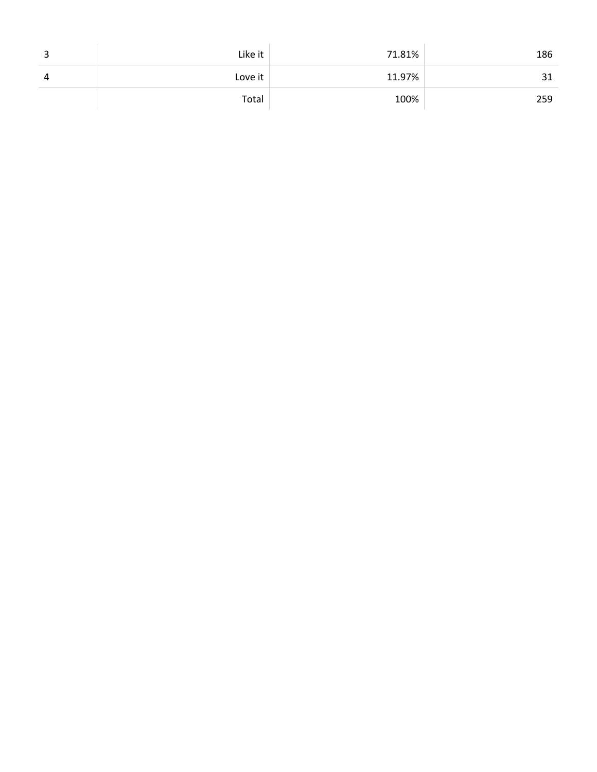| ີ<br>ٮ | Like it | 71.81% | 186 |
|--------|---------|--------|-----|
| 4      | Love it | 11.97% | 21  |
|        | Total   | 100%   | 259 |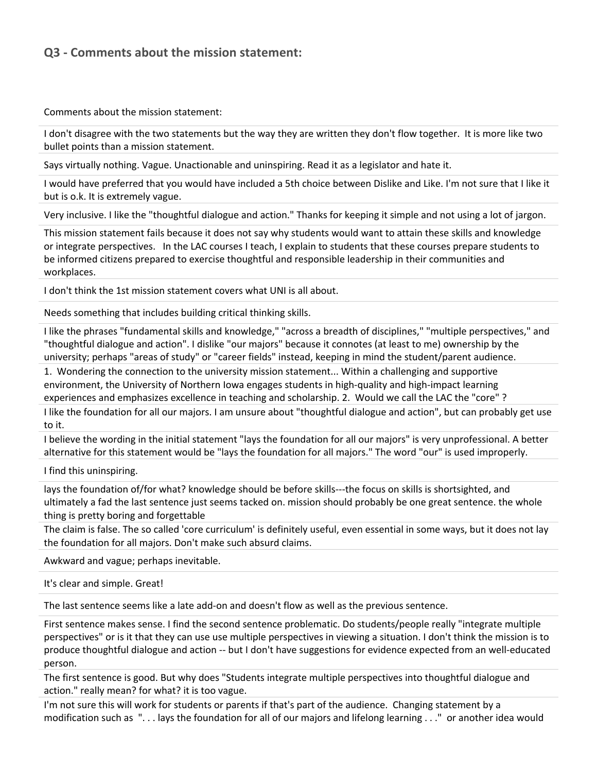### **Q3 - Comments about the mission statement:**

Comments about the mission statement:

I don't disagree with the two statements but the way they are written they don't flow together. It is more like two bullet points than a mission statement.

Says virtually nothing. Vague. Unactionable and uninspiring. Read it as a legislator and hate it.

I would have preferred that you would have included a 5th choice between Dislike and Like. I'm not sure that I like it but is o.k. It is extremely vague.

Very inclusive. I like the "thoughtful dialogue and action." Thanks for keeping it simple and not using a lot of jargon.

This mission statement fails because it does not say why students would want to attain these skills and knowledge or integrate perspectives. In the LAC courses I teach, I explain to students that these courses prepare students to be informed citizens prepared to exercise thoughtful and responsible leadership in their communities and workplaces.

I don't think the 1st mission statement covers what UNI is all about.

Needs something that includes building critical thinking skills.

I like the phrases "fundamental skills and knowledge," "across a breadth of disciplines," "multiple perspectives," and "thoughtful dialogue and action". I dislike "our majors" because it connotes (at least to me) ownership by the university; perhaps "areas of study" or "career fields" instead, keeping in mind the student/parent audience.

1. Wondering the connection to the university mission statement... Within a challenging and supportive environment, the University of Northern Iowa engages students in high-quality and high-impact learning experiences and emphasizes excellence in teaching and scholarship. 2. Would we call the LAC the "core" ?

I like the foundation for all our majors. I am unsure about "thoughtful dialogue and action", but can probably get use to it.

I believe the wording in the initial statement "lays the foundation for all our majors" is very unprofessional. A better alternative for this statement would be "lays the foundation for all majors." The word "our" is used improperly.

I find this uninspiring.

lays the foundation of/for what? knowledge should be before skills---the focus on skills is shortsighted, and ultimately a fad the last sentence just seems tacked on. mission should probably be one great sentence. the whole thing is pretty boring and forgettable

The claim is false. The so called 'core curriculum' is definitely useful, even essential in some ways, but it does not lay the foundation for all majors. Don't make such absurd claims.

Awkward and vague; perhaps inevitable.

It's clear and simple. Great!

The last sentence seems like a late add-on and doesn't flow as well as the previous sentence.

First sentence makes sense. I find the second sentence problematic. Do students/people really "integrate multiple perspectives" or is it that they can use use multiple perspectives in viewing a situation. I don't think the mission is to produce thoughtful dialogue and action -- but I don't have suggestions for evidence expected from an well-educated person.

The first sentence is good. But why does "Students integrate multiple perspectives into thoughtful dialogue and action." really mean? for what? it is too vague.

I'm not sure this will work for students or parents if that's part of the audience. Changing statement by a modification such as ". . . lays the foundation for all of our majors and lifelong learning . . ." or another idea would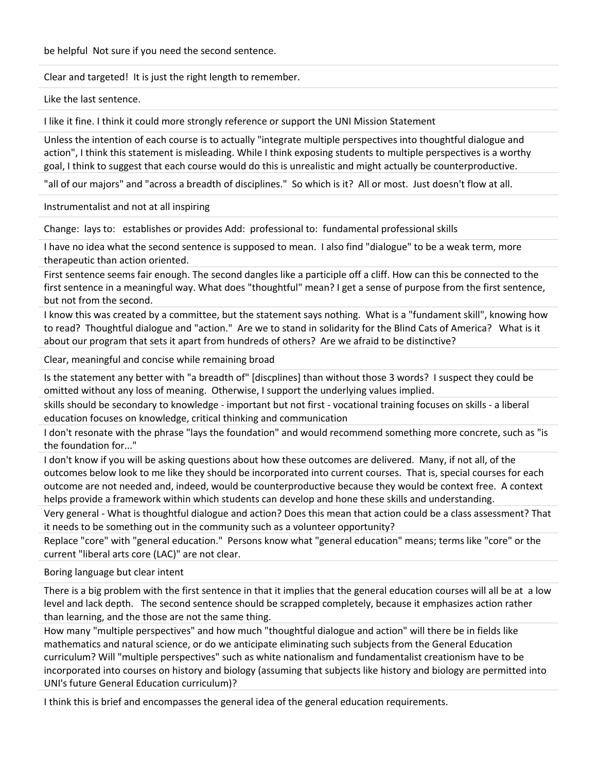be helpful Not sure if you need the second sentence.

Clear and targeted! It is just the right length to remember.

Like the last sentence.

I like it fine. I think it could more strongly reference or support the UNI Mission Statement

Unless the intention of each course is to actually "integrate multiple perspectives into thoughtful dialogue and action", I think this statement is misleading. While I think exposing students to multiple perspectives is a worthy goal, I think to suggest that each course would do this is unrealistic and might actually be counterproductive.

"all of our majors" and "across a breadth of disciplines." So which is it? All or most. Just doesn't flow at all.

Instrumentalist and not at all inspiring

Change: lays to: establishes or provides Add: professional to: fundamental professional skills

I have no idea what the second sentence is supposed to mean. I also find "dialogue" to be a weak term, more therapeutic than action oriented.

First sentence seems fair enough. The second dangles like a participle off a cliff. How can this be connected to the first sentence in a meaningful way. What does "thoughtful" mean? I get a sense of purpose from the first sentence, but not from the second.

I know this was created by a committee, but the statement says nothing. What is a "fundament skill", knowing how to read? Thoughtful dialogue and "action." Are we to stand in solidarity for the Blind Cats of America? What is it about our program that sets it apart from hundreds of others? Are we afraid to be distinctive?

Clear, meaningful and concise while remaining broad

Is the statement any better with "a breadth of" [discplines] than without those 3 words? I suspect they could be omitted without any loss of meaning. Otherwise, I support the underlying values implied.

skills should be secondary to knowledge - important but not first - vocational training focuses on skills - a liberal education focuses on knowledge, critical thinking and communication

I don't resonate with the phrase "lays the foundation" and would recommend something more concrete, such as "is the foundation for..."

I don't know if you will be asking questions about how these outcomes are delivered. Many, if not all, of the outcomes below look to me like they should be incorporated into current courses. That is, special courses for each outcome are not needed and, indeed, would be counterproductive because they would be context free. A context helps provide a framework within which students can develop and hone these skills and understanding.

Very general - What is thoughtful dialogue and action? Does this mean that action could be a class assessment? That it needs to be something out in the community such as a volunteer opportunity?

Replace "core" with "general education." Persons know what "general education" means; terms like "core" or the current "liberal arts core (LAC)" are not clear.

#### Boring language but clear intent

There is a big problem with the first sentence in that it implies that the general education courses will all be at a low level and lack depth. The second sentence should be scrapped completely, because it emphasizes action rather than learning, and the those are not the same thing.

How many "multiple perspectives" and how much "thoughtful dialogue and action" will there be in fields like mathematics and natural science, or do we anticipate eliminating such subjects from the General Education curriculum? Will "multiple perspectives" such as white nationalism and fundamentalist creationism have to be incorporated into courses on history and biology (assuming that subjects like history and biology are permitted into UNI's future General Education curriculum)?

I think this is brief and encompasses the general idea of the general education requirements.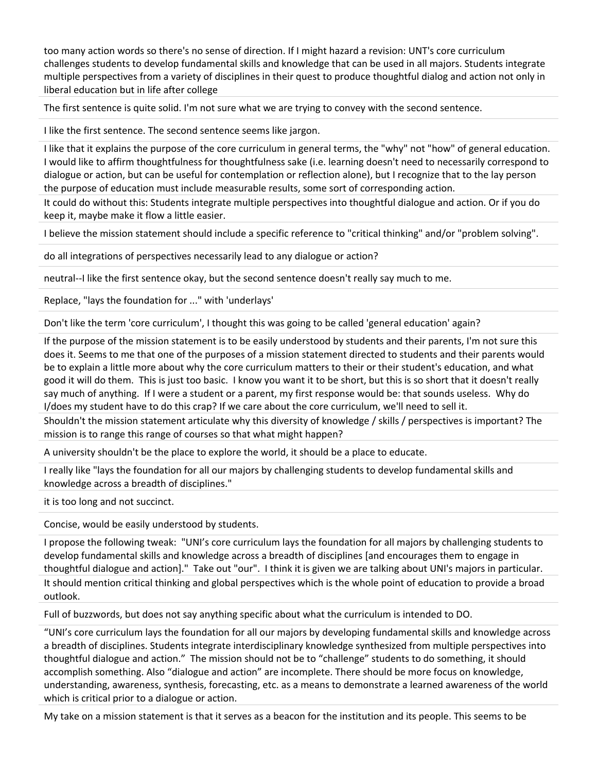too many action words so there's no sense of direction. If I might hazard a revision: UNT's core curriculum challenges students to develop fundamental skills and knowledge that can be used in all majors. Students integrate multiple perspectives from a variety of disciplines in their quest to produce thoughtful dialog and action not only in liberal education but in life after college

The first sentence is quite solid. I'm not sure what we are trying to convey with the second sentence.

I like the first sentence. The second sentence seems like jargon.

I like that it explains the purpose of the core curriculum in general terms, the "why" not "how" of general education. I would like to affirm thoughtfulness for thoughtfulness sake (i.e. learning doesn't need to necessarily correspond to dialogue or action, but can be useful for contemplation or reflection alone), but I recognize that to the lay person the purpose of education must include measurable results, some sort of corresponding action.

It could do without this: Students integrate multiple perspectives into thoughtful dialogue and action. Or if you do keep it, maybe make it flow a little easier.

I believe the mission statement should include a specific reference to "critical thinking" and/or "problem solving".

do all integrations of perspectives necessarily lead to any dialogue or action?

neutral--I like the first sentence okay, but the second sentence doesn't really say much to me.

Replace, "lays the foundation for ..." with 'underlays'

Don't like the term 'core curriculum', I thought this was going to be called 'general education' again?

If the purpose of the mission statement is to be easily understood by students and their parents, I'm not sure this does it. Seems to me that one of the purposes of a mission statement directed to students and their parents would be to explain a little more about why the core curriculum matters to their or their student's education, and what good it will do them. This is just too basic. I know you want it to be short, but this is so short that it doesn't really say much of anything. If I were a student or a parent, my first response would be: that sounds useless. Why do I/does my student have to do this crap? If we care about the core curriculum, we'll need to sell it.

Shouldn't the mission statement articulate why this diversity of knowledge / skills / perspectives is important? The mission is to range this range of courses so that what might happen?

A university shouldn't be the place to explore the world, it should be a place to educate.

I really like "lays the foundation for all our majors by challenging students to develop fundamental skills and knowledge across a breadth of disciplines."

it is too long and not succinct.

Concise, would be easily understood by students.

I propose the following tweak: "UNI's core curriculum lays the foundation for all majors by challenging students to develop fundamental skills and knowledge across a breadth of disciplines [and encourages them to engage in thoughtful dialogue and action]." Take out "our". I think it is given we are talking about UNI's majors in particular. It should mention critical thinking and global perspectives which is the whole point of education to provide a broad outlook.

Full of buzzwords, but does not say anything specific about what the curriculum is intended to DO.

"UNI's core curriculum lays the foundation for all our majors by developing fundamental skills and knowledge across a breadth of disciplines. Students integrate interdisciplinary knowledge synthesized from multiple perspectives into thoughtful dialogue and action." The mission should not be to "challenge" students to do something, it should accomplish something. Also "dialogue and action" are incomplete. There should be more focus on knowledge, understanding, awareness, synthesis, forecasting, etc. as a means to demonstrate a learned awareness of the world which is critical prior to a dialogue or action.

My take on a mission statement is that it serves as a beacon for the institution and its people. This seems to be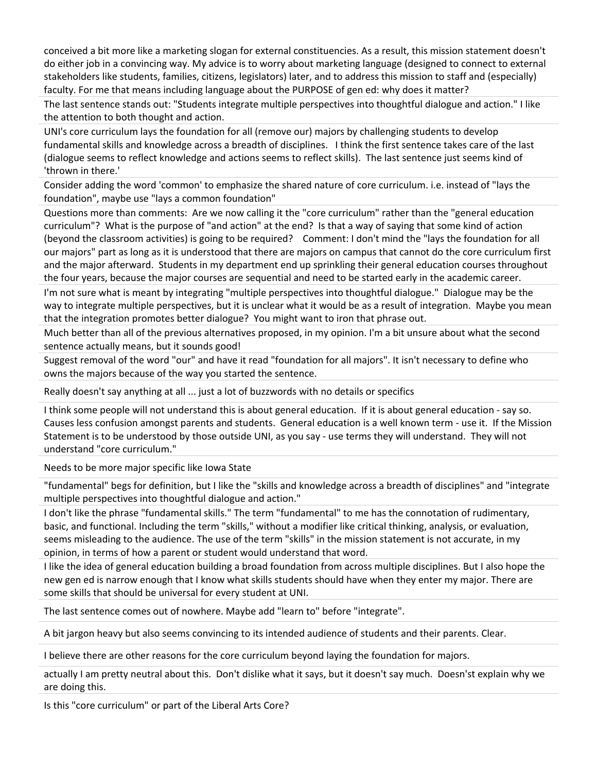conceived a bit more like a marketing slogan for external constituencies. As a result, this mission statement doesn't do either job in a convincing way. My advice is to worry about marketing language (designed to connect to external stakeholders like students, families, citizens, legislators) later, and to address this mission to staff and (especially) faculty. For me that means including language about the PURPOSE of gen ed: why does it matter?

The last sentence stands out: "Students integrate multiple perspectives into thoughtful dialogue and action." I like the attention to both thought and action.

UNI's core curriculum lays the foundation for all (remove our) majors by challenging students to develop fundamental skills and knowledge across a breadth of disciplines. I think the first sentence takes care of the last (dialogue seems to reflect knowledge and actions seems to reflect skills). The last sentence just seems kind of 'thrown in there.'

Consider adding the word 'common' to emphasize the shared nature of core curriculum. i.e. instead of "lays the foundation", maybe use "lays a common foundation"

Questions more than comments: Are we now calling it the "core curriculum" rather than the "general education curriculum"? What is the purpose of "and action" at the end? Is that a way of saying that some kind of action (beyond the classroom activities) is going to be required? Comment: I don't mind the "lays the foundation for all our majors" part as long as it is understood that there are majors on campus that cannot do the core curriculum first and the major afterward. Students in my department end up sprinkling their general education courses throughout the four years, because the major courses are sequential and need to be started early in the academic career.

I'm not sure what is meant by integrating "multiple perspectives into thoughtful dialogue." Dialogue may be the way to integrate multiple perspectives, but it is unclear what it would be as a result of integration. Maybe you mean that the integration promotes better dialogue? You might want to iron that phrase out.

Much better than all of the previous alternatives proposed, in my opinion. I'm a bit unsure about what the second sentence actually means, but it sounds good!

Suggest removal of the word "our" and have it read "foundation for all majors". It isn't necessary to define who owns the majors because of the way you started the sentence.

Really doesn't say anything at all ... just a lot of buzzwords with no details or specifics

I think some people will not understand this is about general education. If it is about general education - say so. Causes less confusion amongst parents and students. General education is a well known term - use it. If the Mission Statement is to be understood by those outside UNI, as you say - use terms they will understand. They will not understand "core curriculum."

Needs to be more major specific like Iowa State

"fundamental" begs for definition, but I like the "skills and knowledge across a breadth of disciplines" and "integrate multiple perspectives into thoughtful dialogue and action."

I don't like the phrase "fundamental skills." The term "fundamental" to me has the connotation of rudimentary, basic, and functional. Including the term "skills," without a modifier like critical thinking, analysis, or evaluation, seems misleading to the audience. The use of the term "skills" in the mission statement is not accurate, in my opinion, in terms of how a parent or student would understand that word.

I like the idea of general education building a broad foundation from across multiple disciplines. But I also hope the new gen ed is narrow enough that I know what skills students should have when they enter my major. There are some skills that should be universal for every student at UNI.

The last sentence comes out of nowhere. Maybe add "learn to" before "integrate".

A bit jargon heavy but also seems convincing to its intended audience of students and their parents. Clear.

I believe there are other reasons for the core curriculum beyond laying the foundation for majors.

actually I am pretty neutral about this. Don't dislike what it says, but it doesn't say much. Doesn'st explain why we are doing this.

Is this "core curriculum" or part of the Liberal Arts Core?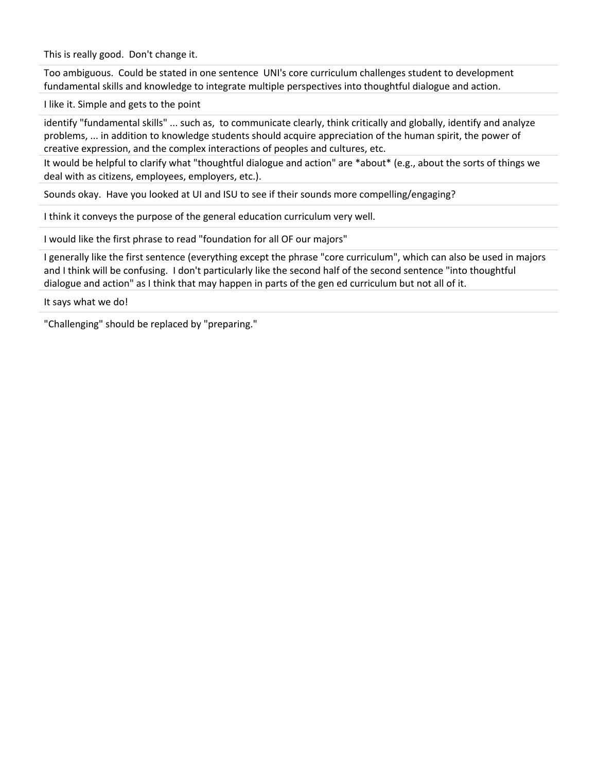This is really good. Don't change it.

Too ambiguous. Could be stated in one sentence UNI's core curriculum challenges student to development fundamental skills and knowledge to integrate multiple perspectives into thoughtful dialogue and action.

I like it. Simple and gets to the point

identify "fundamental skills" ... such as, to communicate clearly, think critically and globally, identify and analyze problems, ... in addition to knowledge students should acquire appreciation of the human spirit, the power of creative expression, and the complex interactions of peoples and cultures, etc.

It would be helpful to clarify what "thoughtful dialogue and action" are \*about\* (e.g., about the sorts of things we deal with as citizens, employees, employers, etc.).

Sounds okay. Have you looked at UI and ISU to see if their sounds more compelling/engaging?

I think it conveys the purpose of the general education curriculum very well.

I would like the first phrase to read "foundation for all OF our majors"

I generally like the first sentence (everything except the phrase "core curriculum", which can also be used in majors and I think will be confusing. I don't particularly like the second half of the second sentence "into thoughtful dialogue and action" as I think that may happen in parts of the gen ed curriculum but not all of it.

It says what we do!

"Challenging" should be replaced by "preparing."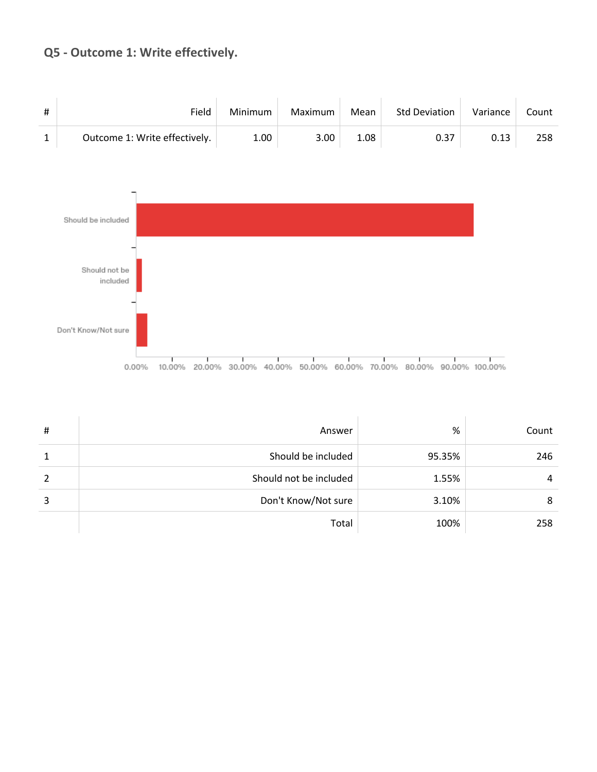# **Q5 - Outcome 1: Write effectively.**





| # | Answer                 | %      | Count |
|---|------------------------|--------|-------|
| 1 | Should be included     | 95.35% | 246   |
|   | Should not be included | 1.55%  | 4     |
| 3 | Don't Know/Not sure    | 3.10%  | 8     |
|   | Total                  | 100%   | 258   |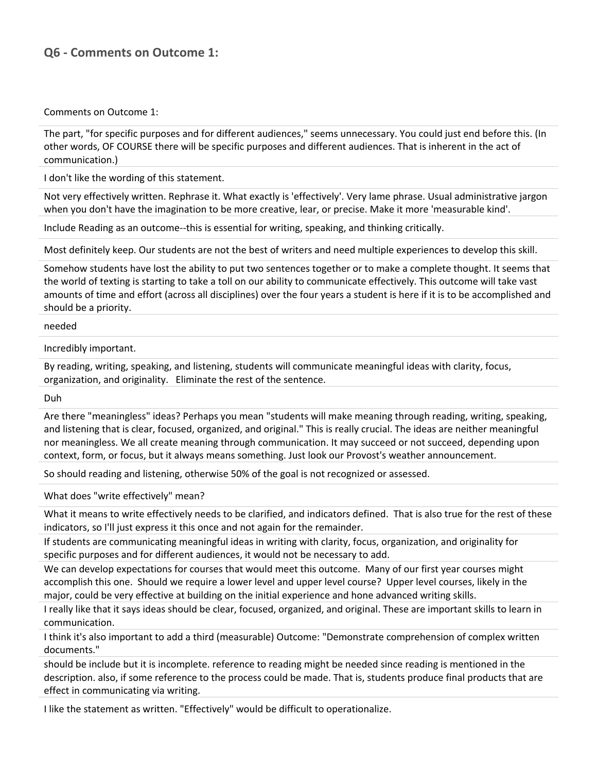Comments on Outcome 1:

The part, "for specific purposes and for different audiences," seems unnecessary. You could just end before this. (In other words, OF COURSE there will be specific purposes and different audiences. That is inherent in the act of communication.)

I don't like the wording of this statement.

Not very effectively written. Rephrase it. What exactly is 'effectively'. Very lame phrase. Usual administrative jargon when you don't have the imagination to be more creative, lear, or precise. Make it more 'measurable kind'.

Include Reading as an outcome--this is essential for writing, speaking, and thinking critically.

Most definitely keep. Our students are not the best of writers and need multiple experiences to develop this skill.

Somehow students have lost the ability to put two sentences together or to make a complete thought. It seems that the world of texting is starting to take a toll on our ability to communicate effectively. This outcome will take vast amounts of time and effort (across all disciplines) over the four years a student is here if it is to be accomplished and should be a priority.

#### needed

Incredibly important.

By reading, writing, speaking, and listening, students will communicate meaningful ideas with clarity, focus, organization, and originality. Eliminate the rest of the sentence.

Duh

Are there "meaningless" ideas? Perhaps you mean "students will make meaning through reading, writing, speaking, and listening that is clear, focused, organized, and original." This is really crucial. The ideas are neither meaningful nor meaningless. We all create meaning through communication. It may succeed or not succeed, depending upon context, form, or focus, but it always means something. Just look our Provost's weather announcement.

So should reading and listening, otherwise 50% of the goal is not recognized or assessed.

What does "write effectively" mean?

What it means to write effectively needs to be clarified, and indicators defined. That is also true for the rest of these indicators, so I'll just express it this once and not again for the remainder.

If students are communicating meaningful ideas in writing with clarity, focus, organization, and originality for specific purposes and for different audiences, it would not be necessary to add.

We can develop expectations for courses that would meet this outcome. Many of our first year courses might accomplish this one. Should we require a lower level and upper level course? Upper level courses, likely in the major, could be very effective at building on the initial experience and hone advanced writing skills.

I really like that it says ideas should be clear, focused, organized, and original. These are important skills to learn in communication.

I think it's also important to add a third (measurable) Outcome: "Demonstrate comprehension of complex written documents."

should be include but it is incomplete. reference to reading might be needed since reading is mentioned in the description. also, if some reference to the process could be made. That is, students produce final products that are effect in communicating via writing.

I like the statement as written. "Effectively" would be difficult to operationalize.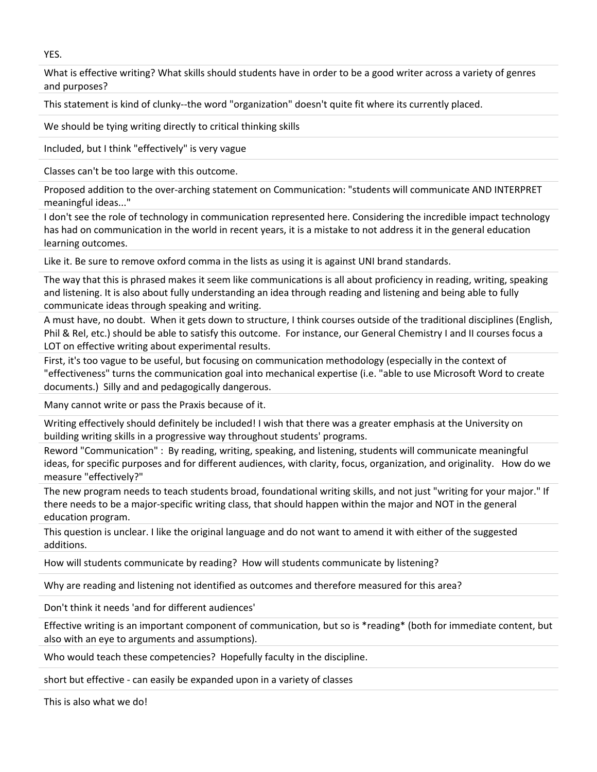What is effective writing? What skills should students have in order to be a good writer across a variety of genres and purposes?

This statement is kind of clunky--the word "organization" doesn't quite fit where its currently placed.

We should be tying writing directly to critical thinking skills

Included, but I think "effectively" is very vague

Classes can't be too large with this outcome.

Proposed addition to the over-arching statement on Communication: "students will communicate AND INTERPRET meaningful ideas..."

I don't see the role of technology in communication represented here. Considering the incredible impact technology has had on communication in the world in recent years, it is a mistake to not address it in the general education learning outcomes.

Like it. Be sure to remove oxford comma in the lists as using it is against UNI brand standards.

The way that this is phrased makes it seem like communications is all about proficiency in reading, writing, speaking and listening. It is also about fully understanding an idea through reading and listening and being able to fully communicate ideas through speaking and writing.

A must have, no doubt. When it gets down to structure, I think courses outside of the traditional disciplines (English, Phil & Rel, etc.) should be able to satisfy this outcome. For instance, our General Chemistry I and II courses focus a LOT on effective writing about experimental results.

First, it's too vague to be useful, but focusing on communication methodology (especially in the context of "effectiveness" turns the communication goal into mechanical expertise (i.e. "able to use Microsoft Word to create documents.) Silly and and pedagogically dangerous.

Many cannot write or pass the Praxis because of it.

Writing effectively should definitely be included! I wish that there was a greater emphasis at the University on building writing skills in a progressive way throughout students' programs.

Reword "Communication" : By reading, writing, speaking, and listening, students will communicate meaningful ideas, for specific purposes and for different audiences, with clarity, focus, organization, and originality. How do we measure "effectively?"

The new program needs to teach students broad, foundational writing skills, and not just "writing for your major." If there needs to be a major-specific writing class, that should happen within the major and NOT in the general education program.

This question is unclear. I like the original language and do not want to amend it with either of the suggested additions.

How will students communicate by reading? How will students communicate by listening?

Why are reading and listening not identified as outcomes and therefore measured for this area?

Don't think it needs 'and for different audiences'

Effective writing is an important component of communication, but so is \*reading\* (both for immediate content, but also with an eye to arguments and assumptions).

Who would teach these competencies? Hopefully faculty in the discipline.

short but effective - can easily be expanded upon in a variety of classes

This is also what we do!

YES.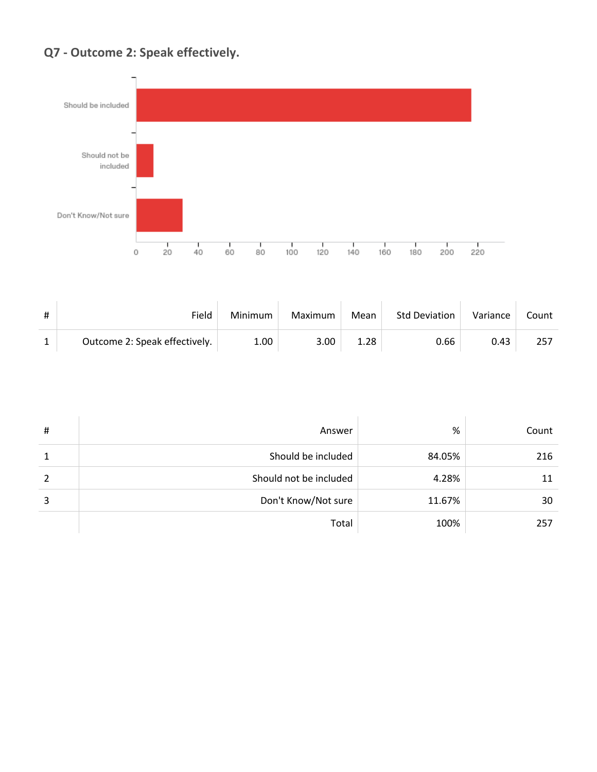# **Q7 - Outcome 2: Speak effectively.**



| # | Field                         | Minimum | Maximum           | Mean   | <b>Std Deviation</b> | Variance | Count |
|---|-------------------------------|---------|-------------------|--------|----------------------|----------|-------|
|   | Outcome 2: Speak effectively. | 1.00    | 3.00 <sub>1</sub> | ـ 28.⊥ | 0.66                 | 0.43     | 257   |

| #              | Answer                 | %      | Count |
|----------------|------------------------|--------|-------|
|                | Should be included     | 84.05% | 216   |
| $\overline{2}$ | Should not be included | 4.28%  | 11    |
| 3              | Don't Know/Not sure    | 11.67% | 30    |
|                | Total                  | 100%   | 257   |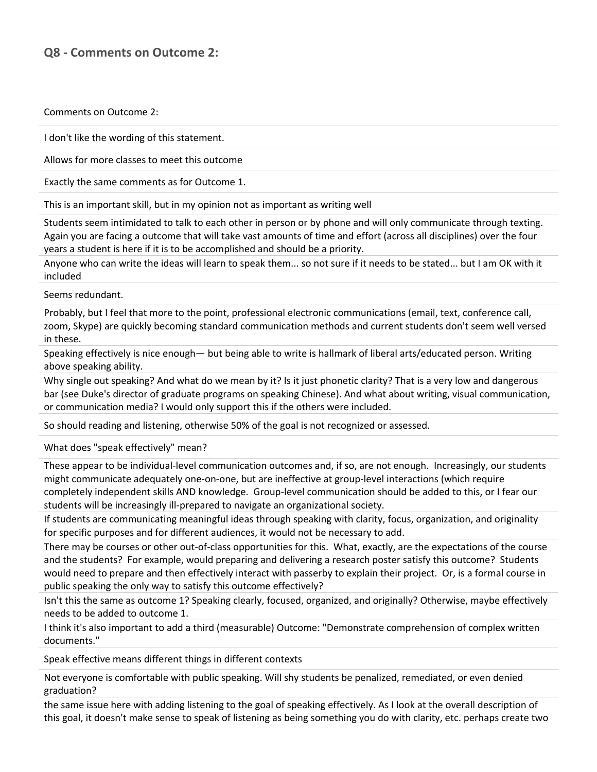### **Q8 - Comments on Outcome 2:**

Comments on Outcome 2:

I don't like the wording of this statement.

Allows for more classes to meet this outcome

Exactly the same comments as for Outcome 1.

This is an important skill, but in my opinion not as important as writing well

Students seem intimidated to talk to each other in person or by phone and will only communicate through texting. Again you are facing a outcome that will take vast amounts of time and effort (across all disciplines) over the four years a student is here if it is to be accomplished and should be a priority.

Anyone who can write the ideas will learn to speak them... so not sure if it needs to be stated... but I am OK with it included

Seems redundant.

Probably, but I feel that more to the point, professional electronic communications (email, text, conference call, zoom, Skype) are quickly becoming standard communication methods and current students don't seem well versed in these.

Speaking effectively is nice enough— but being able to write is hallmark of liberal arts/educated person. Writing above speaking ability.

Why single out speaking? And what do we mean by it? Is it just phonetic clarity? That is a very low and dangerous bar (see Duke's director of graduate programs on speaking Chinese). And what about writing, visual communication, or communication media? I would only support this if the others were included.

So should reading and listening, otherwise 50% of the goal is not recognized or assessed.

What does "speak effectively" mean?

These appear to be individual-level communication outcomes and, if so, are not enough. Increasingly, our students might communicate adequately one-on-one, but are ineffective at group-level interactions (which require completely independent skills AND knowledge. Group-level communication should be added to this, or I fear our students will be increasingly ill-prepared to navigate an organizational society.

If students are communicating meaningful ideas through speaking with clarity, focus, organization, and originality for specific purposes and for different audiences, it would not be necessary to add.

There may be courses or other out-of-class opportunities for this. What, exactly, are the expectations of the course and the students? For example, would preparing and delivering a research poster satisfy this outcome? Students would need to prepare and then effectively interact with passerby to explain their project. Or, is a formal course in public speaking the only way to satisfy this outcome effectively?

Isn't this the same as outcome 1? Speaking clearly, focused, organized, and originally? Otherwise, maybe effectively needs to be added to outcome 1.

I think it's also important to add a third (measurable) Outcome: "Demonstrate comprehension of complex written documents."

Speak effective means different things in different contexts

Not everyone is comfortable with public speaking. Will shy students be penalized, remediated, or even denied graduation?

the same issue here with adding listening to the goal of speaking effectively. As I look at the overall description of this goal, it doesn't make sense to speak of listening as being something you do with clarity, etc. perhaps create two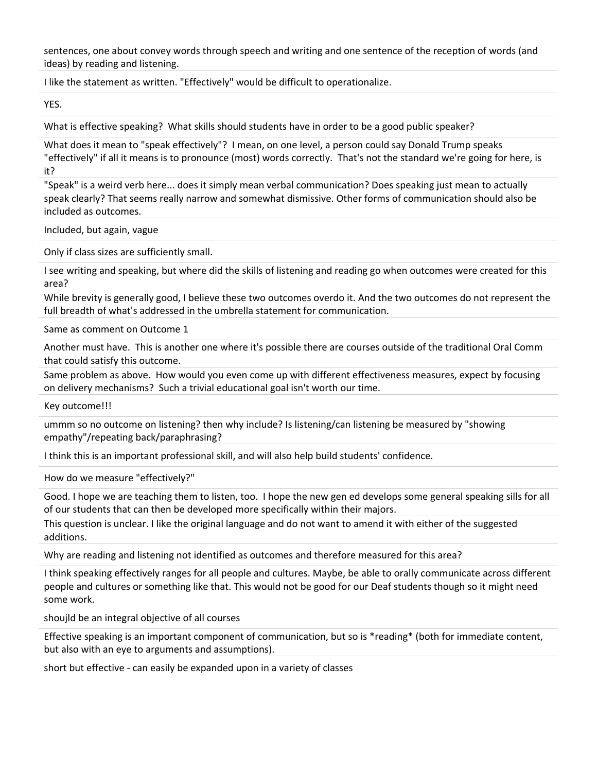sentences, one about convey words through speech and writing and one sentence of the reception of words (and ideas) by reading and listening.

I like the statement as written. "Effectively" would be difficult to operationalize.

YES.

What is effective speaking? What skills should students have in order to be a good public speaker?

What does it mean to "speak effectively"? I mean, on one level, a person could say Donald Trump speaks "effectively" if all it means is to pronounce (most) words correctly. That's not the standard we're going for here, is it?

"Speak" is a weird verb here... does it simply mean verbal communication? Does speaking just mean to actually speak clearly? That seems really narrow and somewhat dismissive. Other forms of communication should also be included as outcomes.

Included, but again, vague

Only if class sizes are sufficiently small.

I see writing and speaking, but where did the skills of listening and reading go when outcomes were created for this area?

While brevity is generally good, I believe these two outcomes overdo it. And the two outcomes do not represent the full breadth of what's addressed in the umbrella statement for communication.

Same as comment on Outcome 1

Another must have. This is another one where it's possible there are courses outside of the traditional Oral Comm that could satisfy this outcome.

Same problem as above. How would you even come up with different effectiveness measures, expect by focusing on delivery mechanisms? Such a trivial educational goal isn't worth our time.

Key outcome!!!

ummm so no outcome on listening? then why include? Is listening/can listening be measured by "showing empathy"/repeating back/paraphrasing?

I think this is an important professional skill, and will also help build students' confidence.

How do we measure "effectively?"

Good. I hope we are teaching them to listen, too. I hope the new gen ed develops some general speaking sills for all of our students that can then be developed more specifically within their majors.

This question is unclear. I like the original language and do not want to amend it with either of the suggested additions.

Why are reading and listening not identified as outcomes and therefore measured for this area?

I think speaking effectively ranges for all people and cultures. Maybe, be able to orally communicate across different people and cultures or something like that. This would not be good for our Deaf students though so it might need some work.

shoujld be an integral objective of all courses

Effective speaking is an important component of communication, but so is \*reading\* (both for immediate content, but also with an eye to arguments and assumptions).

short but effective - can easily be expanded upon in a variety of classes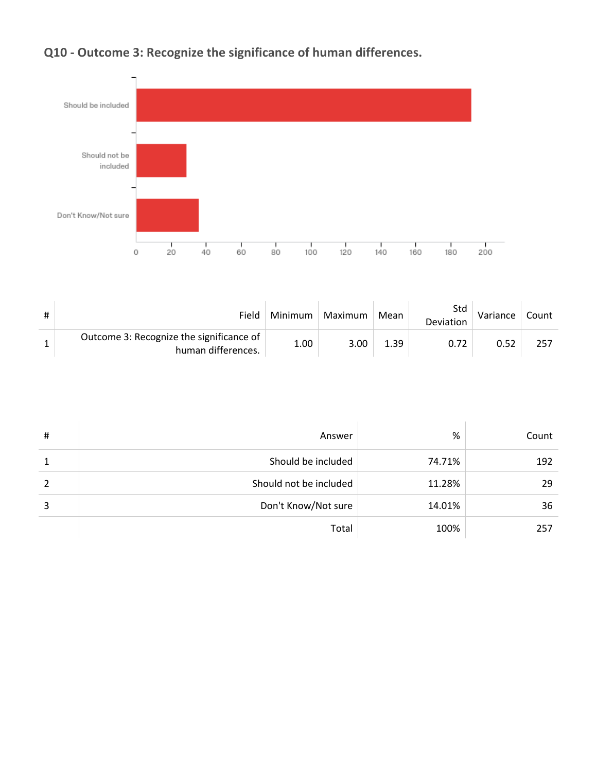



| # | Field                                                          | Minimum | Maximum | Mean | Std<br>Deviation | Variance | Count |
|---|----------------------------------------------------------------|---------|---------|------|------------------|----------|-------|
|   | Outcome 3: Recognize the significance of<br>human differences. | 1.00    | 3.00    | 1.39 |                  | 0.52     |       |

| # | Answer                 | %      | Count |
|---|------------------------|--------|-------|
| 1 | Should be included     | 74.71% | 192   |
| 2 | Should not be included | 11.28% | 29    |
| 3 | Don't Know/Not sure    | 14.01% | 36    |
|   | Total                  | 100%   | 257   |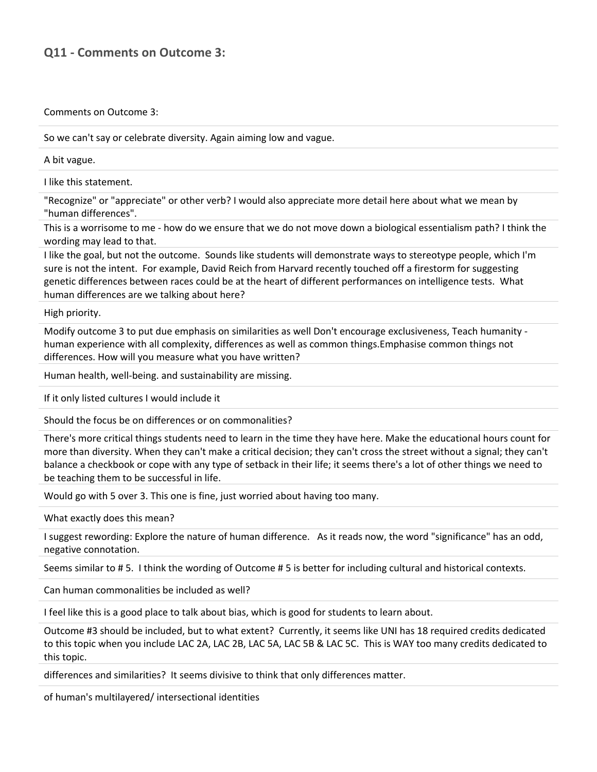# **Q11 - Comments on Outcome 3:**

#### Comments on Outcome 3:

So we can't say or celebrate diversity. Again aiming low and vague.

A bit vague.

I like this statement.

"Recognize" or "appreciate" or other verb? I would also appreciate more detail here about what we mean by "human differences".

This is a worrisome to me - how do we ensure that we do not move down a biological essentialism path? I think the wording may lead to that.

I like the goal, but not the outcome. Sounds like students will demonstrate ways to stereotype people, which I'm sure is not the intent. For example, David Reich from Harvard recently touched off a firestorm for suggesting genetic differences between races could be at the heart of different performances on intelligence tests. What human differences are we talking about here?

High priority.

Modify outcome 3 to put due emphasis on similarities as well Don't encourage exclusiveness, Teach humanity human experience with all complexity, differences as well as common things.Emphasise common things not differences. How will you measure what you have written?

Human health, well-being. and sustainability are missing.

If it only listed cultures I would include it

Should the focus be on differences or on commonalities?

There's more critical things students need to learn in the time they have here. Make the educational hours count for more than diversity. When they can't make a critical decision; they can't cross the street without a signal; they can't balance a checkbook or cope with any type of setback in their life; it seems there's a lot of other things we need to be teaching them to be successful in life.

Would go with 5 over 3. This one is fine, just worried about having too many.

What exactly does this mean?

I suggest rewording: Explore the nature of human difference. As it reads now, the word "significance" has an odd, negative connotation.

Seems similar to # 5. I think the wording of Outcome # 5 is better for including cultural and historical contexts.

Can human commonalities be included as well?

I feel like this is a good place to talk about bias, which is good for students to learn about.

Outcome #3 should be included, but to what extent? Currently, it seems like UNI has 18 required credits dedicated to this topic when you include LAC 2A, LAC 2B, LAC 5A, LAC 5B & LAC 5C. This is WAY too many credits dedicated to this topic.

differences and similarities? It seems divisive to think that only differences matter.

of human's multilayered/ intersectional identities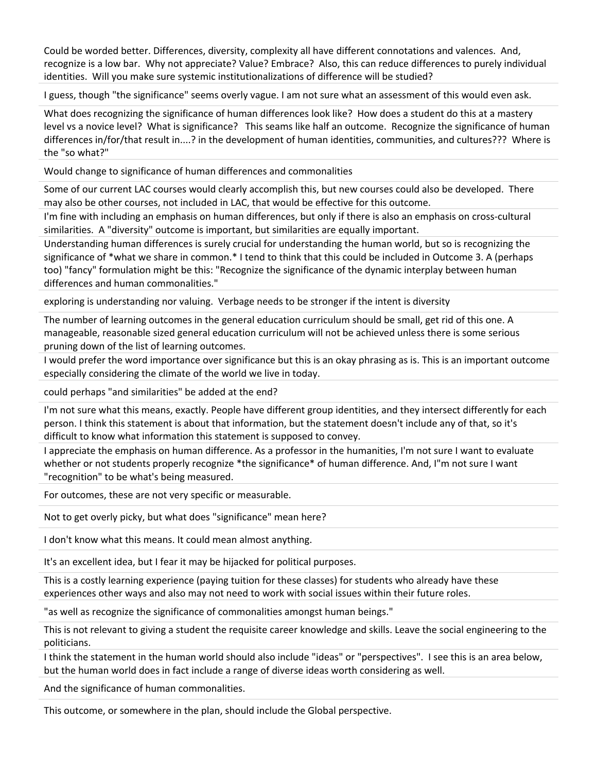Could be worded better. Differences, diversity, complexity all have different connotations and valences. And, recognize is a low bar. Why not appreciate? Value? Embrace? Also, this can reduce differences to purely individual identities. Will you make sure systemic institutionalizations of difference will be studied?

I guess, though "the significance" seems overly vague. I am not sure what an assessment of this would even ask.

What does recognizing the significance of human differences look like? How does a student do this at a mastery level vs a novice level? What is significance? This seams like half an outcome. Recognize the significance of human differences in/for/that result in....? in the development of human identities, communities, and cultures??? Where is the "so what?"

Would change to significance of human differences and commonalities

Some of our current LAC courses would clearly accomplish this, but new courses could also be developed. There may also be other courses, not included in LAC, that would be effective for this outcome.

I'm fine with including an emphasis on human differences, but only if there is also an emphasis on cross-cultural similarities. A "diversity" outcome is important, but similarities are equally important.

Understanding human differences is surely crucial for understanding the human world, but so is recognizing the significance of \*what we share in common.\* I tend to think that this could be included in Outcome 3. A (perhaps too) "fancy" formulation might be this: "Recognize the significance of the dynamic interplay between human differences and human commonalities."

exploring is understanding nor valuing. Verbage needs to be stronger if the intent is diversity

The number of learning outcomes in the general education curriculum should be small, get rid of this one. A manageable, reasonable sized general education curriculum will not be achieved unless there is some serious pruning down of the list of learning outcomes.

I would prefer the word importance over significance but this is an okay phrasing as is. This is an important outcome especially considering the climate of the world we live in today.

could perhaps "and similarities" be added at the end?

I'm not sure what this means, exactly. People have different group identities, and they intersect differently for each person. I think this statement is about that information, but the statement doesn't include any of that, so it's difficult to know what information this statement is supposed to convey.

I appreciate the emphasis on human difference. As a professor in the humanities, I'm not sure I want to evaluate whether or not students properly recognize \*the significance\* of human difference. And, I"m not sure I want "recognition" to be what's being measured.

For outcomes, these are not very specific or measurable.

Not to get overly picky, but what does "significance" mean here?

I don't know what this means. It could mean almost anything.

It's an excellent idea, but I fear it may be hijacked for political purposes.

This is a costly learning experience (paying tuition for these classes) for students who already have these experiences other ways and also may not need to work with social issues within their future roles.

"as well as recognize the significance of commonalities amongst human beings."

This is not relevant to giving a student the requisite career knowledge and skills. Leave the social engineering to the politicians.

I think the statement in the human world should also include "ideas" or "perspectives". I see this is an area below, but the human world does in fact include a range of diverse ideas worth considering as well.

And the significance of human commonalities.

This outcome, or somewhere in the plan, should include the Global perspective.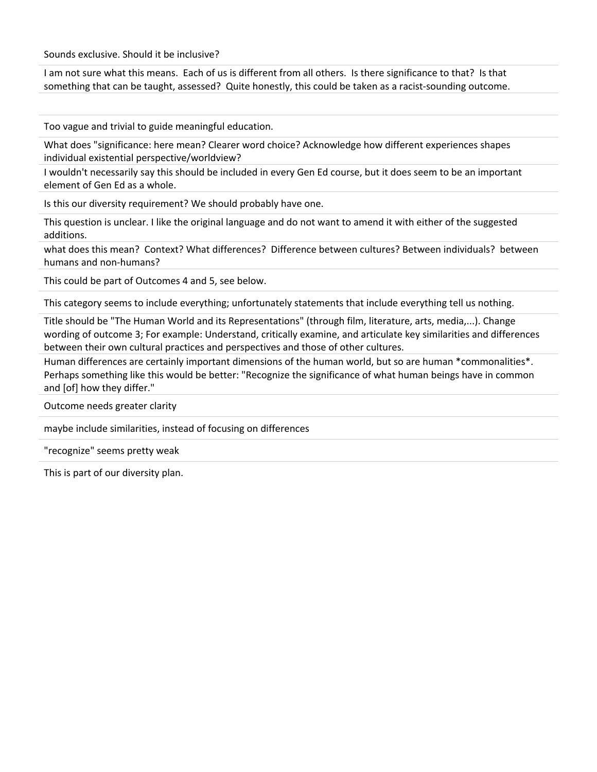Sounds exclusive. Should it be inclusive?

I am not sure what this means. Each of us is different from all others. Is there significance to that? Is that something that can be taught, assessed? Quite honestly, this could be taken as a racist-sounding outcome.

Too vague and trivial to guide meaningful education.

What does "significance: here mean? Clearer word choice? Acknowledge how different experiences shapes individual existential perspective/worldview?

I wouldn't necessarily say this should be included in every Gen Ed course, but it does seem to be an important element of Gen Ed as a whole.

Is this our diversity requirement? We should probably have one.

This question is unclear. I like the original language and do not want to amend it with either of the suggested additions.

what does this mean? Context? What differences? Difference between cultures? Between individuals? between humans and non-humans?

This could be part of Outcomes 4 and 5, see below.

This category seems to include everything; unfortunately statements that include everything tell us nothing.

Title should be "The Human World and its Representations" (through film, literature, arts, media,...). Change wording of outcome 3; For example: Understand, critically examine, and articulate key similarities and differences between their own cultural practices and perspectives and those of other cultures.

Human differences are certainly important dimensions of the human world, but so are human \*commonalities\*. Perhaps something like this would be better: "Recognize the significance of what human beings have in common and [of] how they differ."

Outcome needs greater clarity

maybe include similarities, instead of focusing on differences

"recognize" seems pretty weak

This is part of our diversity plan.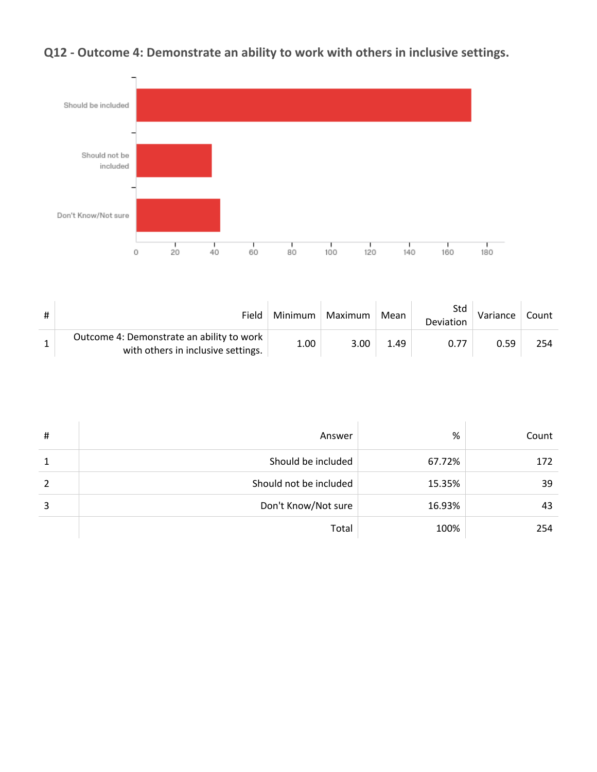

**Q12 - Outcome 4: Demonstrate an ability to work with others in inclusive settings.**

| Field                                                                           | Minimum | Maximum | Mean | Std<br>Deviation | Variance | Count |
|---------------------------------------------------------------------------------|---------|---------|------|------------------|----------|-------|
| Outcome 4: Demonstrate an ability to work<br>with others in inclusive settings. | 1.00    | 3.00    | 1.49 | 0.77             | 0.59     | 254   |

| # | Answer                 | %      | Count |
|---|------------------------|--------|-------|
| 1 | Should be included     | 67.72% | 172   |
| 2 | Should not be included | 15.35% | 39    |
| 3 | Don't Know/Not sure    | 16.93% | 43    |
|   | Total                  | 100%   | 254   |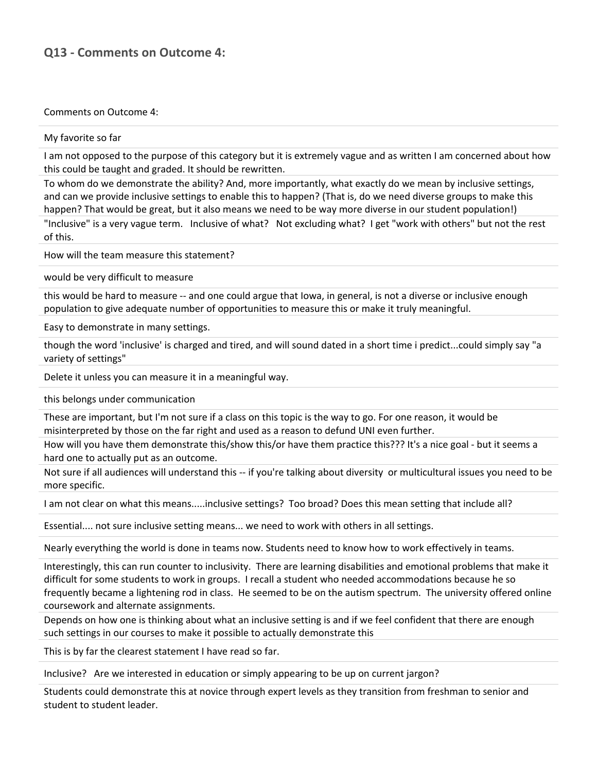# **Q13 - Comments on Outcome 4:**

#### Comments on Outcome 4:

#### My favorite so far

I am not opposed to the purpose of this category but it is extremely vague and as written I am concerned about how this could be taught and graded. It should be rewritten.

To whom do we demonstrate the ability? And, more importantly, what exactly do we mean by inclusive settings, and can we provide inclusive settings to enable this to happen? (That is, do we need diverse groups to make this happen? That would be great, but it also means we need to be way more diverse in our student population!)

"Inclusive" is a very vague term. Inclusive of what? Not excluding what? I get "work with others" but not the rest of this.

How will the team measure this statement?

would be very difficult to measure

this would be hard to measure -- and one could argue that Iowa, in general, is not a diverse or inclusive enough population to give adequate number of opportunities to measure this or make it truly meaningful.

Easy to demonstrate in many settings.

though the word 'inclusive' is charged and tired, and will sound dated in a short time i predict...could simply say "a variety of settings"

Delete it unless you can measure it in a meaningful way.

this belongs under communication

These are important, but I'm not sure if a class on this topic is the way to go. For one reason, it would be misinterpreted by those on the far right and used as a reason to defund UNI even further.

How will you have them demonstrate this/show this/or have them practice this??? It's a nice goal - but it seems a hard one to actually put as an outcome.

Not sure if all audiences will understand this -- if you're talking about diversity or multicultural issues you need to be more specific.

I am not clear on what this means.....inclusive settings? Too broad? Does this mean setting that include all?

Essential.... not sure inclusive setting means... we need to work with others in all settings.

Nearly everything the world is done in teams now. Students need to know how to work effectively in teams.

Interestingly, this can run counter to inclusivity. There are learning disabilities and emotional problems that make it difficult for some students to work in groups. I recall a student who needed accommodations because he so frequently became a lightening rod in class. He seemed to be on the autism spectrum. The university offered online coursework and alternate assignments.

Depends on how one is thinking about what an inclusive setting is and if we feel confident that there are enough such settings in our courses to make it possible to actually demonstrate this

This is by far the clearest statement I have read so far.

Inclusive? Are we interested in education or simply appearing to be up on current jargon?

Students could demonstrate this at novice through expert levels as they transition from freshman to senior and student to student leader.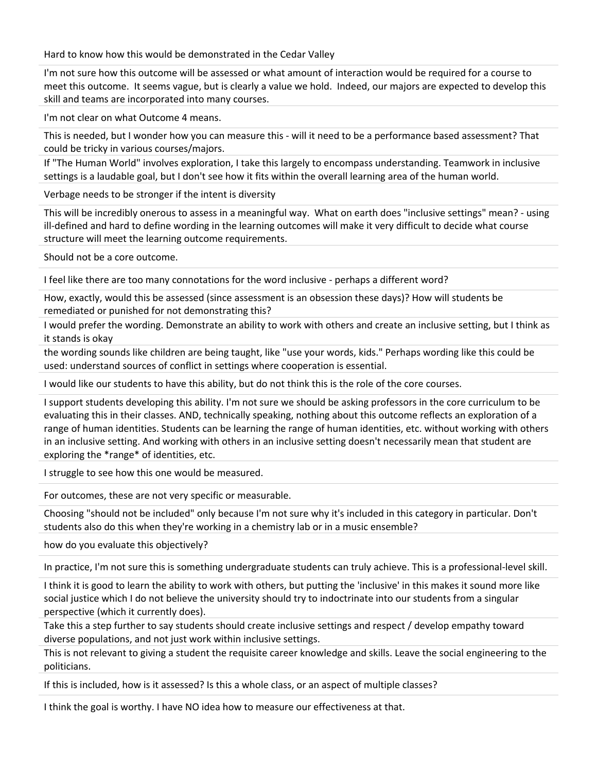Hard to know how this would be demonstrated in the Cedar Valley

I'm not sure how this outcome will be assessed or what amount of interaction would be required for a course to meet this outcome. It seems vague, but is clearly a value we hold. Indeed, our majors are expected to develop this skill and teams are incorporated into many courses.

I'm not clear on what Outcome 4 means.

This is needed, but I wonder how you can measure this - will it need to be a performance based assessment? That could be tricky in various courses/majors.

If "The Human World" involves exploration, I take this largely to encompass understanding. Teamwork in inclusive settings is a laudable goal, but I don't see how it fits within the overall learning area of the human world.

Verbage needs to be stronger if the intent is diversity

This will be incredibly onerous to assess in a meaningful way. What on earth does "inclusive settings" mean? - using ill-defined and hard to define wording in the learning outcomes will make it very difficult to decide what course structure will meet the learning outcome requirements.

Should not be a core outcome.

I feel like there are too many connotations for the word inclusive - perhaps a different word?

How, exactly, would this be assessed (since assessment is an obsession these days)? How will students be remediated or punished for not demonstrating this?

I would prefer the wording. Demonstrate an ability to work with others and create an inclusive setting, but I think as it stands is okay

the wording sounds like children are being taught, like "use your words, kids." Perhaps wording like this could be used: understand sources of conflict in settings where cooperation is essential.

I would like our students to have this ability, but do not think this is the role of the core courses.

I support students developing this ability. I'm not sure we should be asking professors in the core curriculum to be evaluating this in their classes. AND, technically speaking, nothing about this outcome reflects an exploration of a range of human identities. Students can be learning the range of human identities, etc. without working with others in an inclusive setting. And working with others in an inclusive setting doesn't necessarily mean that student are exploring the \*range\* of identities, etc.

I struggle to see how this one would be measured.

For outcomes, these are not very specific or measurable.

Choosing "should not be included" only because I'm not sure why it's included in this category in particular. Don't students also do this when they're working in a chemistry lab or in a music ensemble?

how do you evaluate this objectively?

In practice, I'm not sure this is something undergraduate students can truly achieve. This is a professional-level skill.

I think it is good to learn the ability to work with others, but putting the 'inclusive' in this makes it sound more like social justice which I do not believe the university should try to indoctrinate into our students from a singular perspective (which it currently does).

Take this a step further to say students should create inclusive settings and respect / develop empathy toward diverse populations, and not just work within inclusive settings.

This is not relevant to giving a student the requisite career knowledge and skills. Leave the social engineering to the politicians.

If this is included, how is it assessed? Is this a whole class, or an aspect of multiple classes?

I think the goal is worthy. I have NO idea how to measure our effectiveness at that.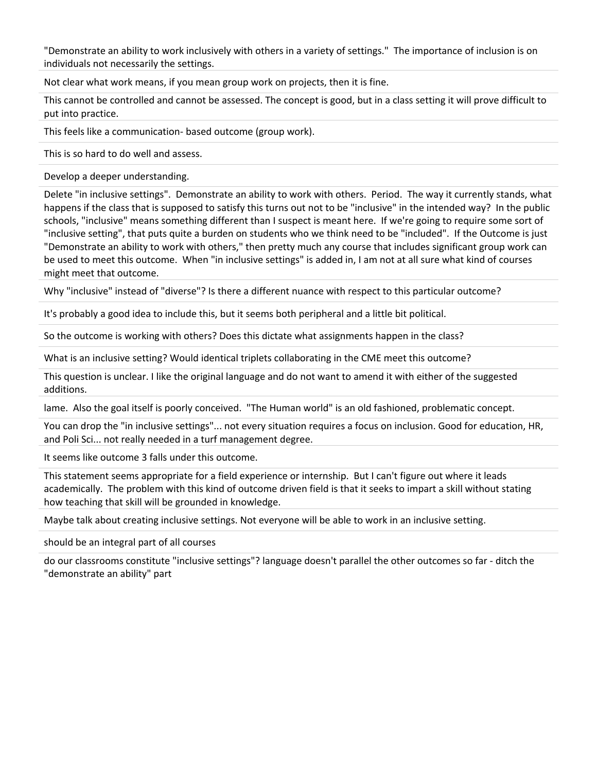"Demonstrate an ability to work inclusively with others in a variety of settings." The importance of inclusion is on individuals not necessarily the settings.

Not clear what work means, if you mean group work on projects, then it is fine.

This cannot be controlled and cannot be assessed. The concept is good, but in a class setting it will prove difficult to put into practice.

This feels like a communication- based outcome (group work).

This is so hard to do well and assess.

Develop a deeper understanding.

Delete "in inclusive settings". Demonstrate an ability to work with others. Period. The way it currently stands, what happens if the class that is supposed to satisfy this turns out not to be "inclusive" in the intended way? In the public schools, "inclusive" means something different than I suspect is meant here. If we're going to require some sort of "inclusive setting", that puts quite a burden on students who we think need to be "included". If the Outcome is just "Demonstrate an ability to work with others," then pretty much any course that includes significant group work can be used to meet this outcome. When "in inclusive settings" is added in, I am not at all sure what kind of courses might meet that outcome.

Why "inclusive" instead of "diverse"? Is there a different nuance with respect to this particular outcome?

It's probably a good idea to include this, but it seems both peripheral and a little bit political.

So the outcome is working with others? Does this dictate what assignments happen in the class?

What is an inclusive setting? Would identical triplets collaborating in the CME meet this outcome?

This question is unclear. I like the original language and do not want to amend it with either of the suggested additions.

lame. Also the goal itself is poorly conceived. "The Human world" is an old fashioned, problematic concept.

You can drop the "in inclusive settings"... not every situation requires a focus on inclusion. Good for education, HR, and Poli Sci... not really needed in a turf management degree.

It seems like outcome 3 falls under this outcome.

This statement seems appropriate for a field experience or internship. But I can't figure out where it leads academically. The problem with this kind of outcome driven field is that it seeks to impart a skill without stating how teaching that skill will be grounded in knowledge.

Maybe talk about creating inclusive settings. Not everyone will be able to work in an inclusive setting.

should be an integral part of all courses

do our classrooms constitute "inclusive settings"? language doesn't parallel the other outcomes so far - ditch the "demonstrate an ability" part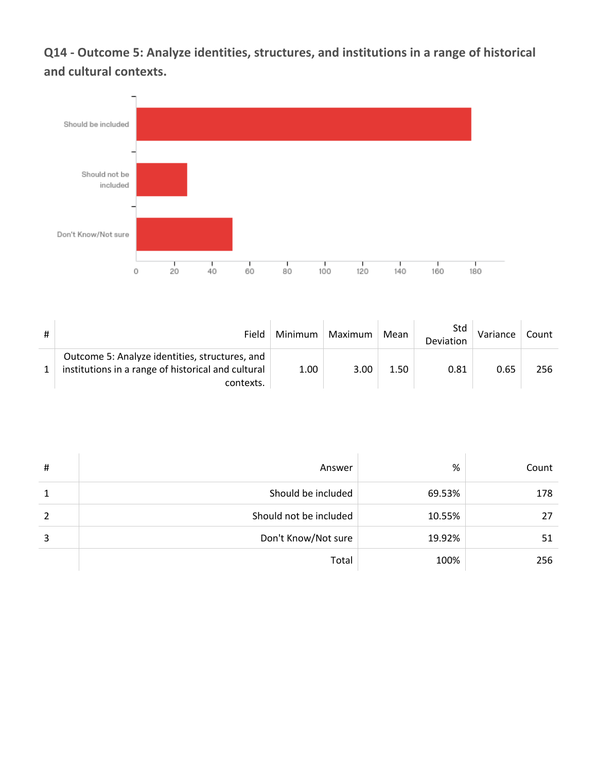**Q14 - Outcome 5: Analyze identities, structures, and institutions in a range of historical and cultural contexts.**



| # | Field                                                                                                             | Minimum | Maximum | Mean | Std<br>Deviation | Variance | Count |
|---|-------------------------------------------------------------------------------------------------------------------|---------|---------|------|------------------|----------|-------|
|   | Outcome 5: Analyze identities, structures, and<br>institutions in a range of historical and cultural<br>contexts. | 1.00    | 3.00    | 1.50 | 0.81             | 0.65     | 256   |

| # | Answer                 | %      | Count |
|---|------------------------|--------|-------|
|   | Should be included     | 69.53% | 178   |
|   | Should not be included | 10.55% | 27    |
| 3 | Don't Know/Not sure    | 19.92% | 51    |
|   | Total                  | 100%   | 256   |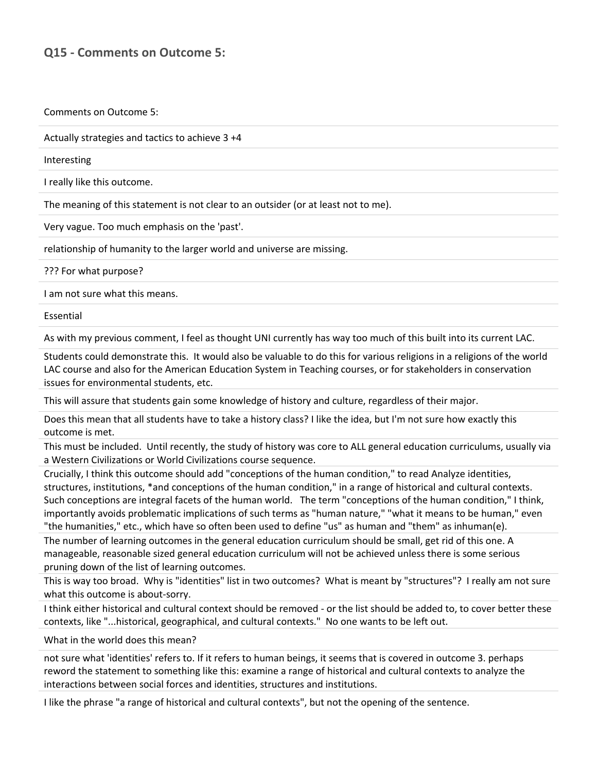# **Q15 - Comments on Outcome 5:**

Comments on Outcome 5:

Actually strategies and tactics to achieve 3 +4

Interesting

I really like this outcome.

The meaning of this statement is not clear to an outsider (or at least not to me).

Very vague. Too much emphasis on the 'past'.

relationship of humanity to the larger world and universe are missing.

??? For what purpose?

I am not sure what this means.

Essential

As with my previous comment, I feel as thought UNI currently has way too much of this built into its current LAC.

Students could demonstrate this. It would also be valuable to do this for various religions in a religions of the world LAC course and also for the American Education System in Teaching courses, or for stakeholders in conservation issues for environmental students, etc.

This will assure that students gain some knowledge of history and culture, regardless of their major.

Does this mean that all students have to take a history class? I like the idea, but I'm not sure how exactly this outcome is met.

This must be included. Until recently, the study of history was core to ALL general education curriculums, usually via a Western Civilizations or World Civilizations course sequence.

Crucially, I think this outcome should add "conceptions of the human condition," to read Analyze identities, structures, institutions, \*and conceptions of the human condition," in a range of historical and cultural contexts. Such conceptions are integral facets of the human world. The term "conceptions of the human condition," I think, importantly avoids problematic implications of such terms as "human nature," "what it means to be human," even "the humanities," etc., which have so often been used to define "us" as human and "them" as inhuman(e).

The number of learning outcomes in the general education curriculum should be small, get rid of this one. A manageable, reasonable sized general education curriculum will not be achieved unless there is some serious pruning down of the list of learning outcomes.

This is way too broad. Why is "identities" list in two outcomes? What is meant by "structures"? I really am not sure what this outcome is about-sorry.

I think either historical and cultural context should be removed - or the list should be added to, to cover better these contexts, like "...historical, geographical, and cultural contexts." No one wants to be left out.

What in the world does this mean?

not sure what 'identities' refers to. If it refers to human beings, it seems that is covered in outcome 3. perhaps reword the statement to something like this: examine a range of historical and cultural contexts to analyze the interactions between social forces and identities, structures and institutions.

I like the phrase "a range of historical and cultural contexts", but not the opening of the sentence.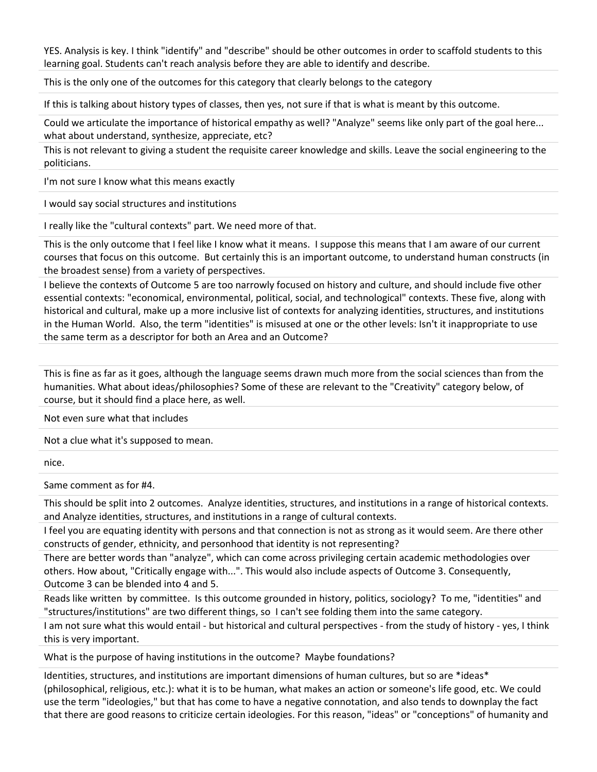YES. Analysis is key. I think "identify" and "describe" should be other outcomes in order to scaffold students to this learning goal. Students can't reach analysis before they are able to identify and describe.

This is the only one of the outcomes for this category that clearly belongs to the category

If this is talking about history types of classes, then yes, not sure if that is what is meant by this outcome.

Could we articulate the importance of historical empathy as well? "Analyze" seems like only part of the goal here... what about understand, synthesize, appreciate, etc?

This is not relevant to giving a student the requisite career knowledge and skills. Leave the social engineering to the politicians.

I'm not sure I know what this means exactly

I would say social structures and institutions

I really like the "cultural contexts" part. We need more of that.

This is the only outcome that I feel like I know what it means. I suppose this means that I am aware of our current courses that focus on this outcome. But certainly this is an important outcome, to understand human constructs (in the broadest sense) from a variety of perspectives.

I believe the contexts of Outcome 5 are too narrowly focused on history and culture, and should include five other essential contexts: "economical, environmental, political, social, and technological" contexts. These five, along with historical and cultural, make up a more inclusive list of contexts for analyzing identities, structures, and institutions in the Human World. Also, the term "identities" is misused at one or the other levels: Isn't it inappropriate to use the same term as a descriptor for both an Area and an Outcome?

This is fine as far as it goes, although the language seems drawn much more from the social sciences than from the humanities. What about ideas/philosophies? Some of these are relevant to the "Creativity" category below, of course, but it should find a place here, as well.

Not even sure what that includes

Not a clue what it's supposed to mean.

nice.

Same comment as for #4.

This should be split into 2 outcomes. Analyze identities, structures, and institutions in a range of historical contexts. and Analyze identities, structures, and institutions in a range of cultural contexts.

I feel you are equating identity with persons and that connection is not as strong as it would seem. Are there other constructs of gender, ethnicity, and personhood that identity is not representing?

There are better words than "analyze", which can come across privileging certain academic methodologies over others. How about, "Critically engage with...". This would also include aspects of Outcome 3. Consequently, Outcome 3 can be blended into 4 and 5.

Reads like written by committee. Is this outcome grounded in history, politics, sociology? To me, "identities" and "structures/institutions" are two different things, so I can't see folding them into the same category.

I am not sure what this would entail - but historical and cultural perspectives - from the study of history - yes, I think this is very important.

What is the purpose of having institutions in the outcome? Maybe foundations?

Identities, structures, and institutions are important dimensions of human cultures, but so are \*ideas\* (philosophical, religious, etc.): what it is to be human, what makes an action or someone's life good, etc. We could use the term "ideologies," but that has come to have a negative connotation, and also tends to downplay the fact that there are good reasons to criticize certain ideologies. For this reason, "ideas" or "conceptions" of humanity and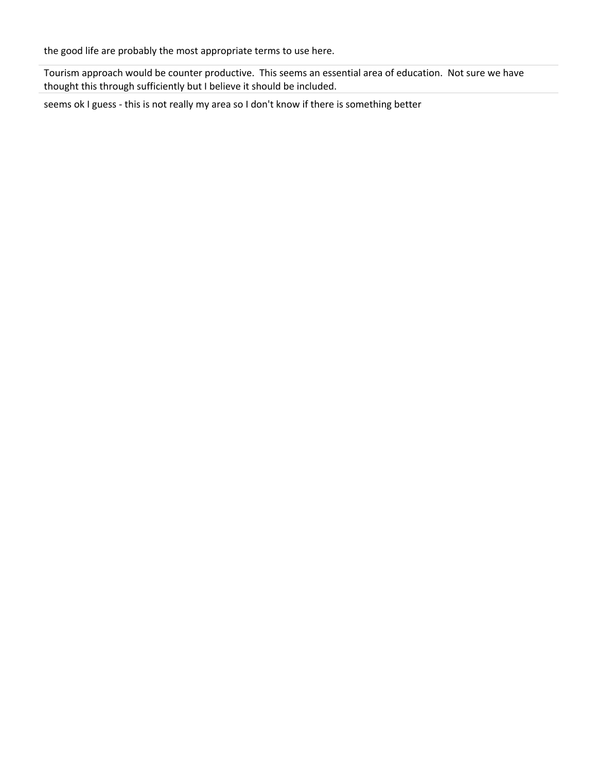the good life are probably the most appropriate terms to use here.

Tourism approach would be counter productive. This seems an essential area of education. Not sure we have thought this through sufficiently but I believe it should be included.

seems ok I guess - this is not really my area so I don't know if there is something better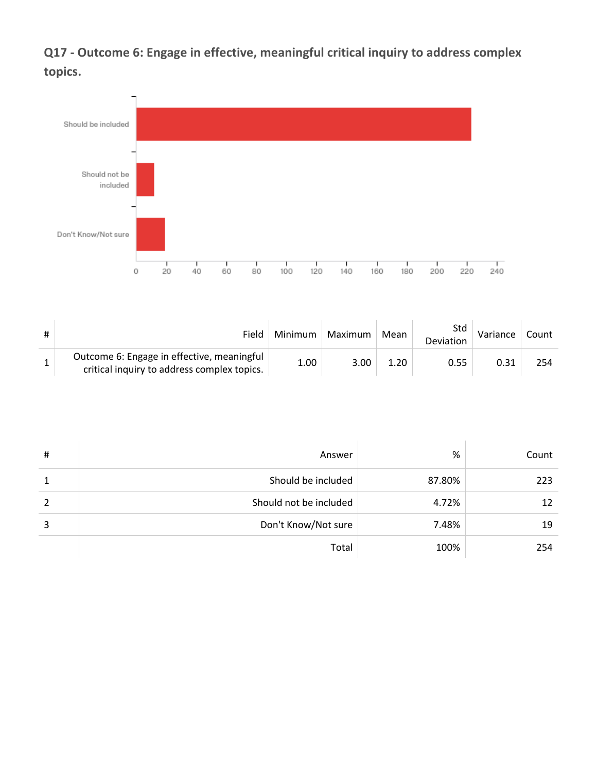**Q17 - Outcome 6: Engage in effective, meaningful critical inquiry to address complex topics.**



| Field                                                                                     | Minimum | Maximum           | Mean | Std<br>Deviation | Variance | Count |
|-------------------------------------------------------------------------------------------|---------|-------------------|------|------------------|----------|-------|
| Outcome 6: Engage in effective, meaningful<br>critical inquiry to address complex topics. | 1.00    | 3.00 <sub>1</sub> | 1.20 | 0.55             | 0.31     | 254   |

| # | Answer                 | %      | Count |
|---|------------------------|--------|-------|
|   | Should be included     | 87.80% | 223   |
|   | Should not be included | 4.72%  | 12    |
| 3 | Don't Know/Not sure    | 7.48%  | 19    |
|   | Total                  | 100%   | 254   |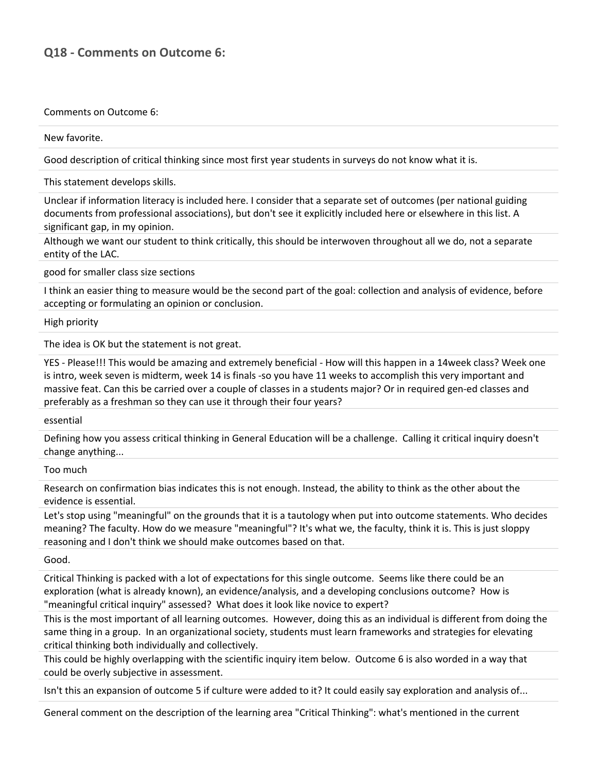# **Q18 - Comments on Outcome 6:**

#### Comments on Outcome 6:

#### New favorite.

Good description of critical thinking since most first year students in surveys do not know what it is.

This statement develops skills.

Unclear if information literacy is included here. I consider that a separate set of outcomes (per national guiding documents from professional associations), but don't see it explicitly included here or elsewhere in this list. A significant gap, in my opinion.

Although we want our student to think critically, this should be interwoven throughout all we do, not a separate entity of the LAC.

good for smaller class size sections

I think an easier thing to measure would be the second part of the goal: collection and analysis of evidence, before accepting or formulating an opinion or conclusion.

High priority

The idea is OK but the statement is not great.

YES - Please!!! This would be amazing and extremely beneficial - How will this happen in a 14week class? Week one is intro, week seven is midterm, week 14 is finals -so you have 11 weeks to accomplish this very important and massive feat. Can this be carried over a couple of classes in a students major? Or in required gen-ed classes and preferably as a freshman so they can use it through their four years?

#### essential

Defining how you assess critical thinking in General Education will be a challenge. Calling it critical inquiry doesn't change anything...

#### Too much

Research on confirmation bias indicates this is not enough. Instead, the ability to think as the other about the evidence is essential.

Let's stop using "meaningful" on the grounds that it is a tautology when put into outcome statements. Who decides meaning? The faculty. How do we measure "meaningful"? It's what we, the faculty, think it is. This is just sloppy reasoning and I don't think we should make outcomes based on that.

Good.

Critical Thinking is packed with a lot of expectations for this single outcome. Seems like there could be an exploration (what is already known), an evidence/analysis, and a developing conclusions outcome? How is "meaningful critical inquiry" assessed? What does it look like novice to expert?

This is the most important of all learning outcomes. However, doing this as an individual is different from doing the same thing in a group. In an organizational society, students must learn frameworks and strategies for elevating critical thinking both individually and collectively.

This could be highly overlapping with the scientific inquiry item below. Outcome 6 is also worded in a way that could be overly subjective in assessment.

Isn't this an expansion of outcome 5 if culture were added to it? It could easily say exploration and analysis of...

General comment on the description of the learning area "Critical Thinking": what's mentioned in the current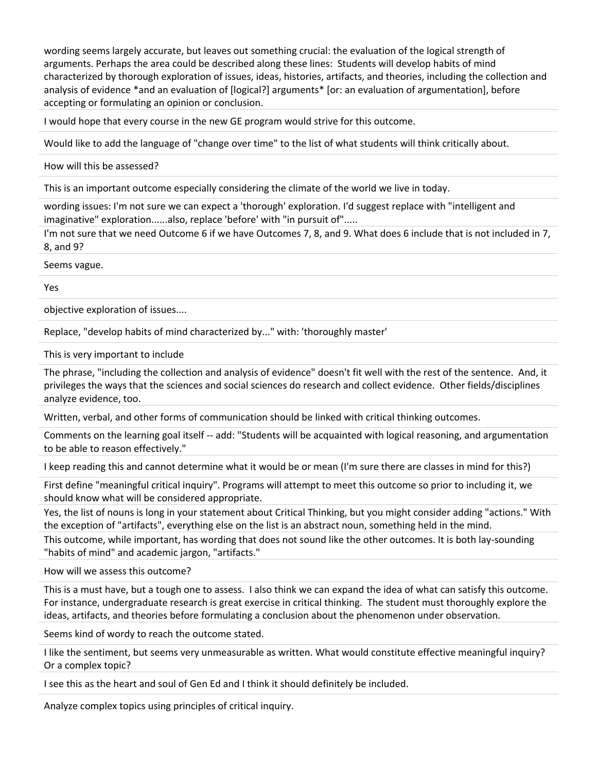wording seems largely accurate, but leaves out something crucial: the evaluation of the logical strength of arguments. Perhaps the area could be described along these lines: Students will develop habits of mind characterized by thorough exploration of issues, ideas, histories, artifacts, and theories, including the collection and analysis of evidence \*and an evaluation of [logical?] arguments\* [or: an evaluation of argumentation], before accepting or formulating an opinion or conclusion.

I would hope that every course in the new GE program would strive for this outcome.

Would like to add the language of "change over time" to the list of what students will think critically about.

How will this be assessed?

This is an important outcome especially considering the climate of the world we live in today.

wording issues: I'm not sure we can expect a 'thorough' exploration. I'd suggest replace with "intelligent and imaginative" exploration......also, replace 'before' with "in pursuit of".....

I'm not sure that we need Outcome 6 if we have Outcomes 7, 8, and 9. What does 6 include that is not included in 7, 8, and 9?

Seems vague.

Yes

objective exploration of issues....

Replace, "develop habits of mind characterized by..." with: 'thoroughly master'

This is very important to include

The phrase, "including the collection and analysis of evidence" doesn't fit well with the rest of the sentence. And, it privileges the ways that the sciences and social sciences do research and collect evidence. Other fields/disciplines analyze evidence, too.

Written, verbal, and other forms of communication should be linked with critical thinking outcomes.

Comments on the learning goal itself -- add: "Students will be acquainted with logical reasoning, and argumentation to be able to reason effectively."

I keep reading this and cannot determine what it would be or mean (I'm sure there are classes in mind for this?)

First define "meaningful critical inquiry". Programs will attempt to meet this outcome so prior to including it, we should know what will be considered appropriate.

Yes, the list of nouns is long in your statement about Critical Thinking, but you might consider adding "actions." With the exception of "artifacts", everything else on the list is an abstract noun, something held in the mind.

This outcome, while important, has wording that does not sound like the other outcomes. It is both lay-sounding "habits of mind" and academic jargon, "artifacts."

How will we assess this outcome?

This is a must have, but a tough one to assess. I also think we can expand the idea of what can satisfy this outcome. For instance, undergraduate research is great exercise in critical thinking. The student must thoroughly explore the ideas, artifacts, and theories before formulating a conclusion about the phenomenon under observation.

Seems kind of wordy to reach the outcome stated.

I like the sentiment, but seems very unmeasurable as written. What would constitute effective meaningful inquiry? Or a complex topic?

I see this as the heart and soul of Gen Ed and I think it should definitely be included.

Analyze complex topics using principles of critical inquiry.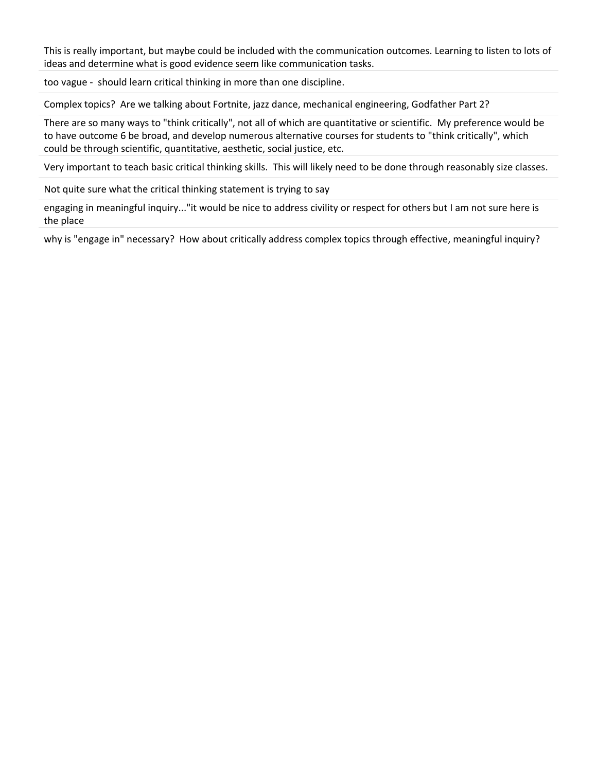This is really important, but maybe could be included with the communication outcomes. Learning to listen to lots of ideas and determine what is good evidence seem like communication tasks.

too vague - should learn critical thinking in more than one discipline.

Complex topics? Are we talking about Fortnite, jazz dance, mechanical engineering, Godfather Part 2?

There are so many ways to "think critically", not all of which are quantitative or scientific. My preference would be to have outcome 6 be broad, and develop numerous alternative courses for students to "think critically", which could be through scientific, quantitative, aesthetic, social justice, etc.

Very important to teach basic critical thinking skills. This will likely need to be done through reasonably size classes.

Not quite sure what the critical thinking statement is trying to say

engaging in meaningful inquiry..."it would be nice to address civility or respect for others but I am not sure here is the place

why is "engage in" necessary? How about critically address complex topics through effective, meaningful inquiry?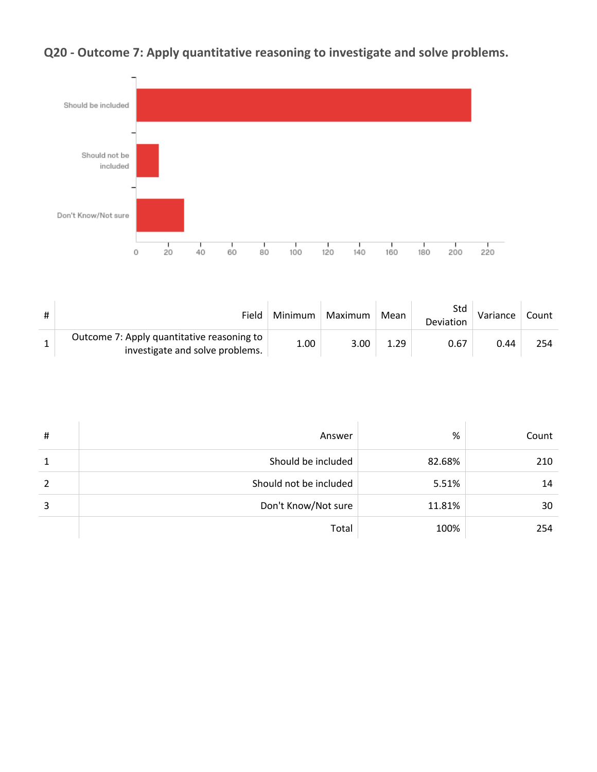



| # | Field                                                                         | Minimum | Maximum | Mean | Std<br>Deviation | Variance | Count |
|---|-------------------------------------------------------------------------------|---------|---------|------|------------------|----------|-------|
|   | Outcome 7: Apply quantitative reasoning to<br>investigate and solve problems. | 1.00    | 3.00    | 1.29 | 0.67             | 0.44     | 254   |

| # | Answer                 | %      | Count |
|---|------------------------|--------|-------|
| 1 | Should be included     | 82.68% | 210   |
| 2 | Should not be included | 5.51%  | 14    |
| 3 | Don't Know/Not sure    | 11.81% | 30    |
|   | Total                  | 100%   | 254   |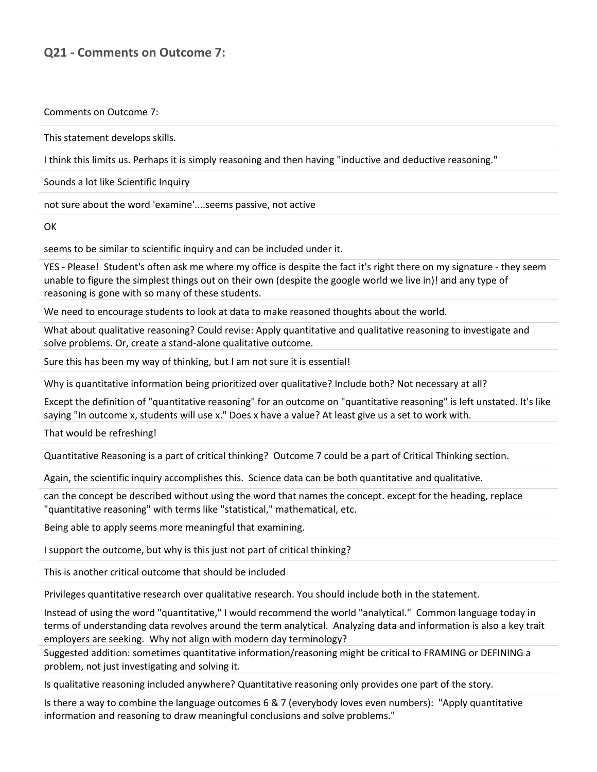# **Q21 - Comments on Outcome 7:**

Comments on Outcome 7:

This statement develops skills.

I think this limits us. Perhaps it is simply reasoning and then having "inductive and deductive reasoning."

Sounds a lot like Scientific Inquiry

not sure about the word 'examine'....seems passive, not active

**OK** 

seems to be similar to scientific inquiry and can be included under it.

YES - Please! Student's often ask me where my office is despite the fact it's right there on my signature - they seem unable to figure the simplest things out on their own (despite the google world we live in)! and any type of reasoning is gone with so many of these students.

We need to encourage students to look at data to make reasoned thoughts about the world.

What about qualitative reasoning? Could revise: Apply quantitative and qualitative reasoning to investigate and solve problems. Or, create a stand-alone qualitative outcome.

Sure this has been my way of thinking, but I am not sure it is essential!

Why is quantitative information being prioritized over qualitative? Include both? Not necessary at all?

Except the definition of "quantitative reasoning" for an outcome on "quantitative reasoning" is left unstated. It's like saying "In outcome x, students will use x." Does x have a value? At least give us a set to work with.

That would be refreshing!

Quantitative Reasoning is a part of critical thinking? Outcome 7 could be a part of Critical Thinking section.

Again, the scientific inquiry accomplishes this. Science data can be both quantitative and qualitative.

can the concept be described without using the word that names the concept. except for the heading, replace "quantitative reasoning" with terms like "statistical," mathematical, etc.

Being able to apply seems more meaningful that examining.

I support the outcome, but why is this just not part of critical thinking?

This is another critical outcome that should be included

Privileges quantitative research over qualitative research. You should include both in the statement.

Instead of using the word "quantitative," I would recommend the world "analytical." Common language today in terms of understanding data revolves around the term analytical. Analyzing data and information is also a key trait employers are seeking. Why not align with modern day terminology?

Suggested addition: sometimes quantitative information/reasoning might be critical to FRAMING or DEFINING a problem, not just investigating and solving it.

Is qualitative reasoning included anywhere? Quantitative reasoning only provides one part of the story.

Is there a way to combine the language outcomes 6 & 7 (everybody loves even numbers): "Apply quantitative information and reasoning to draw meaningful conclusions and solve problems."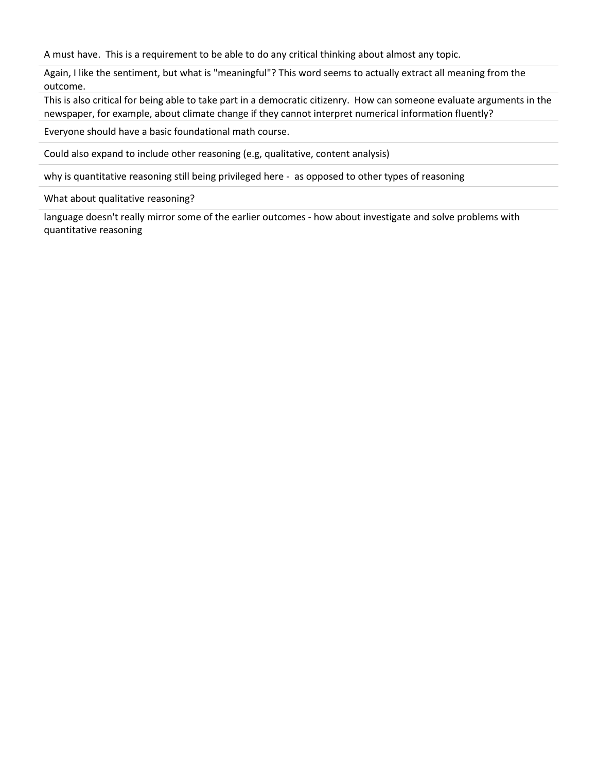A must have. This is a requirement to be able to do any critical thinking about almost any topic.

Again, I like the sentiment, but what is "meaningful"? This word seems to actually extract all meaning from the outcome.

This is also critical for being able to take part in a democratic citizenry. How can someone evaluate arguments in the newspaper, for example, about climate change if they cannot interpret numerical information fluently?

Everyone should have a basic foundational math course.

Could also expand to include other reasoning (e.g, qualitative, content analysis)

why is quantitative reasoning still being privileged here - as opposed to other types of reasoning

What about qualitative reasoning?

language doesn't really mirror some of the earlier outcomes - how about investigate and solve problems with quantitative reasoning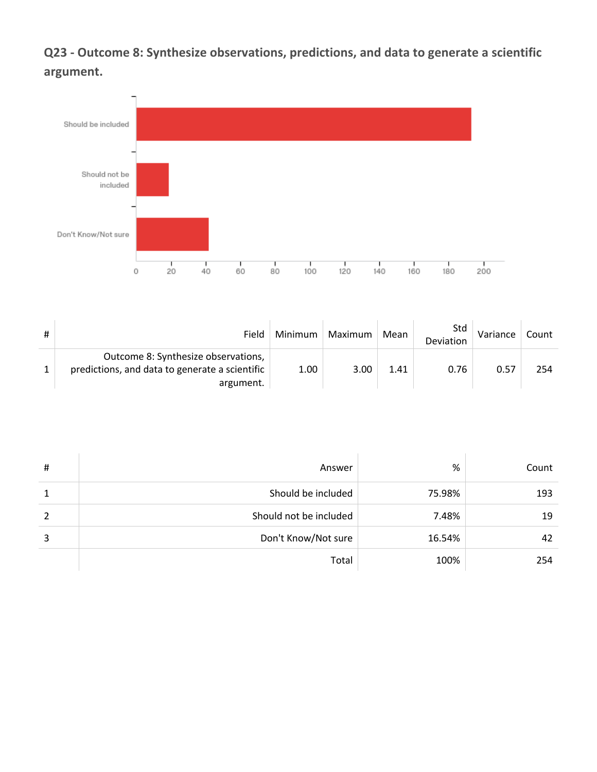**Q23 - Outcome 8: Synthesize observations, predictions, and data to generate a scientific argument.**



| # | Field                                                                                              | Minimum | Maximum | Mean | Std<br>Deviation | Variance | Count |
|---|----------------------------------------------------------------------------------------------------|---------|---------|------|------------------|----------|-------|
|   | Outcome 8: Synthesize observations,<br>predictions, and data to generate a scientific<br>argument. | 1.00    | 3.00    | 1.41 | 0.76             | 0.57     | 254   |

| # | Answer                 | %      | Count |
|---|------------------------|--------|-------|
| 1 | Should be included     | 75.98% | 193   |
| 2 | Should not be included | 7.48%  | 19    |
| 3 | Don't Know/Not sure    | 16.54% | 42    |
|   | Total                  | 100%   | 254   |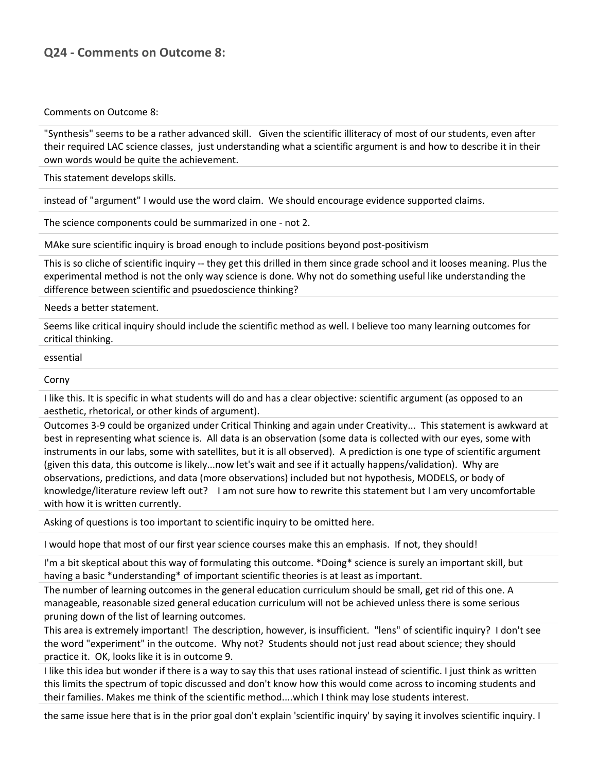# **Q24 - Comments on Outcome 8:**

Comments on Outcome 8:

"Synthesis" seems to be a rather advanced skill. Given the scientific illiteracy of most of our students, even after their required LAC science classes, just understanding what a scientific argument is and how to describe it in their own words would be quite the achievement.

This statement develops skills.

instead of "argument" I would use the word claim. We should encourage evidence supported claims.

The science components could be summarized in one - not 2.

MAke sure scientific inquiry is broad enough to include positions beyond post-positivism

This is so cliche of scientific inquiry -- they get this drilled in them since grade school and it looses meaning. Plus the experimental method is not the only way science is done. Why not do something useful like understanding the difference between scientific and psuedoscience thinking?

Needs a better statement.

Seems like critical inquiry should include the scientific method as well. I believe too many learning outcomes for critical thinking.

#### essential

Corny

I like this. It is specific in what students will do and has a clear objective: scientific argument (as opposed to an aesthetic, rhetorical, or other kinds of argument).

Outcomes 3-9 could be organized under Critical Thinking and again under Creativity... This statement is awkward at best in representing what science is. All data is an observation (some data is collected with our eyes, some with instruments in our labs, some with satellites, but it is all observed). A prediction is one type of scientific argument (given this data, this outcome is likely...now let's wait and see if it actually happens/validation). Why are observations, predictions, and data (more observations) included but not hypothesis, MODELS, or body of knowledge/literature review left out? I am not sure how to rewrite this statement but I am very uncomfortable with how it is written currently.

Asking of questions is too important to scientific inquiry to be omitted here.

I would hope that most of our first year science courses make this an emphasis. If not, they should!

I'm a bit skeptical about this way of formulating this outcome. \*Doing\* science is surely an important skill, but having a basic \*understanding\* of important scientific theories is at least as important.

The number of learning outcomes in the general education curriculum should be small, get rid of this one. A manageable, reasonable sized general education curriculum will not be achieved unless there is some serious pruning down of the list of learning outcomes.

This area is extremely important! The description, however, is insufficient. "lens" of scientific inquiry? I don't see the word "experiment" in the outcome. Why not? Students should not just read about science; they should practice it. OK, looks like it is in outcome 9.

I like this idea but wonder if there is a way to say this that uses rational instead of scientific. I just think as written this limits the spectrum of topic discussed and don't know how this would come across to incoming students and their families. Makes me think of the scientific method....which I think may lose students interest.

the same issue here that is in the prior goal don't explain 'scientific inquiry' by saying it involves scientific inquiry. I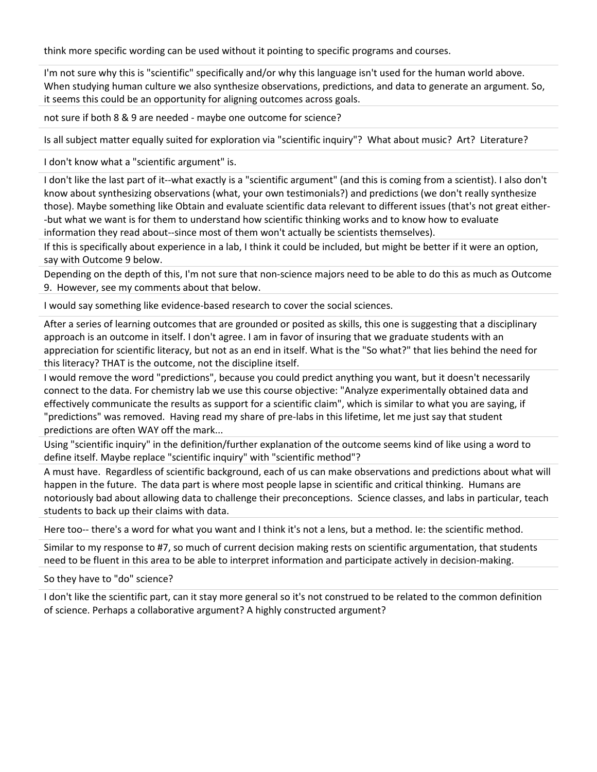think more specific wording can be used without it pointing to specific programs and courses.

I'm not sure why this is "scientific" specifically and/or why this language isn't used for the human world above. When studying human culture we also synthesize observations, predictions, and data to generate an argument. So, it seems this could be an opportunity for aligning outcomes across goals.

not sure if both 8 & 9 are needed - maybe one outcome for science?

Is all subject matter equally suited for exploration via "scientific inquiry"? What about music? Art? Literature?

I don't know what a "scientific argument" is.

I don't like the last part of it--what exactly is a "scientific argument" (and this is coming from a scientist). I also don't know about synthesizing observations (what, your own testimonials?) and predictions (we don't really synthesize those). Maybe something like Obtain and evaluate scientific data relevant to different issues (that's not great either- -but what we want is for them to understand how scientific thinking works and to know how to evaluate information they read about--since most of them won't actually be scientists themselves).

If this is specifically about experience in a lab, I think it could be included, but might be better if it were an option, say with Outcome 9 below.

Depending on the depth of this, I'm not sure that non-science majors need to be able to do this as much as Outcome 9. However, see my comments about that below.

I would say something like evidence-based research to cover the social sciences.

After a series of learning outcomes that are grounded or posited as skills, this one is suggesting that a disciplinary approach is an outcome in itself. I don't agree. I am in favor of insuring that we graduate students with an appreciation for scientific literacy, but not as an end in itself. What is the "So what?" that lies behind the need for this literacy? THAT is the outcome, not the discipline itself.

I would remove the word "predictions", because you could predict anything you want, but it doesn't necessarily connect to the data. For chemistry lab we use this course objective: "Analyze experimentally obtained data and effectively communicate the results as support for a scientific claim", which is similar to what you are saying, if "predictions" was removed. Having read my share of pre-labs in this lifetime, let me just say that student predictions are often WAY off the mark...

Using "scientific inquiry" in the definition/further explanation of the outcome seems kind of like using a word to define itself. Maybe replace "scientific inquiry" with "scientific method"?

A must have. Regardless of scientific background, each of us can make observations and predictions about what will happen in the future. The data part is where most people lapse in scientific and critical thinking. Humans are notoriously bad about allowing data to challenge their preconceptions. Science classes, and labs in particular, teach students to back up their claims with data.

Here too-- there's a word for what you want and I think it's not a lens, but a method. Ie: the scientific method.

Similar to my response to #7, so much of current decision making rests on scientific argumentation, that students need to be fluent in this area to be able to interpret information and participate actively in decision-making.

So they have to "do" science?

I don't like the scientific part, can it stay more general so it's not construed to be related to the common definition of science. Perhaps a collaborative argument? A highly constructed argument?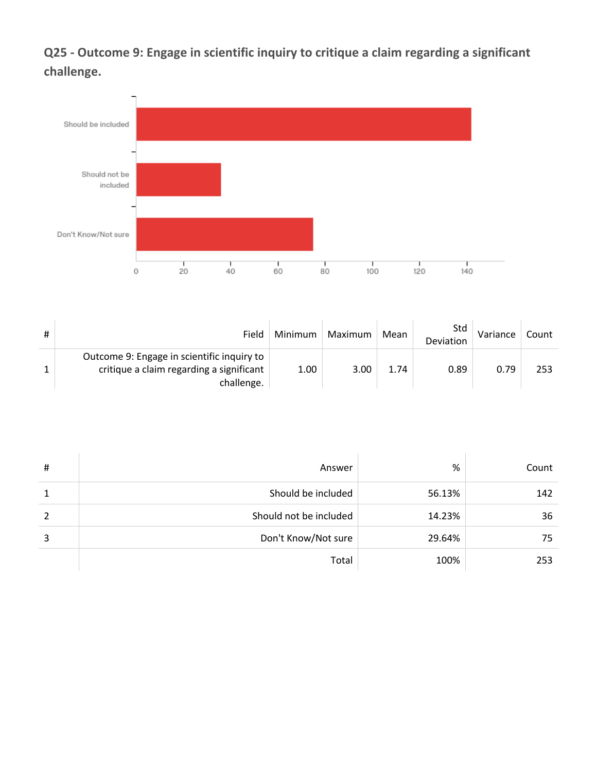**Q25 - Outcome 9: Engage in scientific inquiry to critique a claim regarding a significant challenge.**



| Field                                                                                                | Minimum | Maximum | Mean | Std<br>Deviation | Variance | Count |
|------------------------------------------------------------------------------------------------------|---------|---------|------|------------------|----------|-------|
| Outcome 9: Engage in scientific inquiry to<br>critique a claim regarding a significant<br>challenge. | 1.00    | 3.00    | 1.74 | 0.89             | 0.79     | 253   |

| # | Answer                 | %      | Count |
|---|------------------------|--------|-------|
|   | Should be included     | 56.13% | 142   |
|   | Should not be included | 14.23% | 36    |
| 3 | Don't Know/Not sure    | 29.64% | 75    |
|   | Total                  | 100%   | 253   |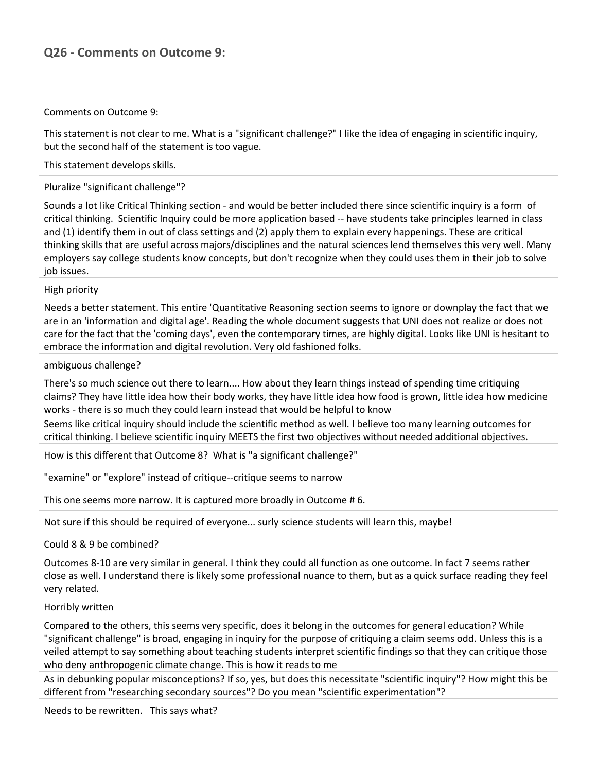# **Q26 - Comments on Outcome 9:**

#### Comments on Outcome 9:

This statement is not clear to me. What is a "significant challenge?" I like the idea of engaging in scientific inquiry, but the second half of the statement is too vague.

This statement develops skills.

Pluralize "significant challenge"?

Sounds a lot like Critical Thinking section - and would be better included there since scientific inquiry is a form of critical thinking. Scientific Inquiry could be more application based -- have students take principles learned in class and (1) identify them in out of class settings and (2) apply them to explain every happenings. These are critical thinking skills that are useful across majors/disciplines and the natural sciences lend themselves this very well. Many employers say college students know concepts, but don't recognize when they could uses them in their job to solve job issues.

#### High priority

Needs a better statement. This entire 'Quantitative Reasoning section seems to ignore or downplay the fact that we are in an 'information and digital age'. Reading the whole document suggests that UNI does not realize or does not care for the fact that the 'coming days', even the contemporary times, are highly digital. Looks like UNI is hesitant to embrace the information and digital revolution. Very old fashioned folks.

#### ambiguous challenge?

There's so much science out there to learn.... How about they learn things instead of spending time critiquing claims? They have little idea how their body works, they have little idea how food is grown, little idea how medicine works - there is so much they could learn instead that would be helpful to know

Seems like critical inquiry should include the scientific method as well. I believe too many learning outcomes for critical thinking. I believe scientific inquiry MEETS the first two objectives without needed additional objectives.

How is this different that Outcome 8? What is "a significant challenge?"

"examine" or "explore" instead of critique--critique seems to narrow

This one seems more narrow. It is captured more broadly in Outcome # 6.

Not sure if this should be required of everyone... surly science students will learn this, maybe!

Could 8 & 9 be combined?

Outcomes 8-10 are very similar in general. I think they could all function as one outcome. In fact 7 seems rather close as well. I understand there is likely some professional nuance to them, but as a quick surface reading they feel very related.

#### Horribly written

Compared to the others, this seems very specific, does it belong in the outcomes for general education? While "significant challenge" is broad, engaging in inquiry for the purpose of critiquing a claim seems odd. Unless this is a veiled attempt to say something about teaching students interpret scientific findings so that they can critique those who deny anthropogenic climate change. This is how it reads to me

As in debunking popular misconceptions? If so, yes, but does this necessitate "scientific inquiry"? How might this be different from "researching secondary sources"? Do you mean "scientific experimentation"?

Needs to be rewritten. This says what?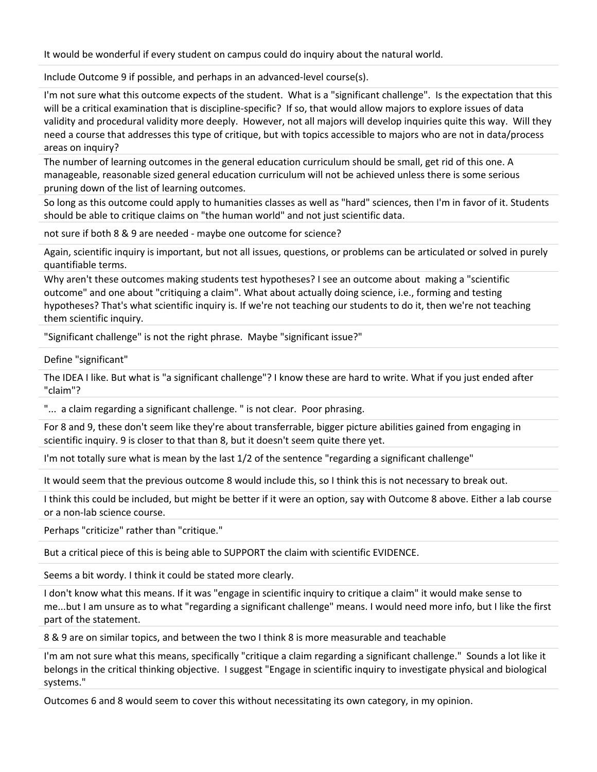It would be wonderful if every student on campus could do inquiry about the natural world.

Include Outcome 9 if possible, and perhaps in an advanced-level course(s).

I'm not sure what this outcome expects of the student. What is a "significant challenge". Is the expectation that this will be a critical examination that is discipline-specific? If so, that would allow majors to explore issues of data validity and procedural validity more deeply. However, not all majors will develop inquiries quite this way. Will they need a course that addresses this type of critique, but with topics accessible to majors who are not in data/process areas on inquiry?

The number of learning outcomes in the general education curriculum should be small, get rid of this one. A manageable, reasonable sized general education curriculum will not be achieved unless there is some serious pruning down of the list of learning outcomes.

So long as this outcome could apply to humanities classes as well as "hard" sciences, then I'm in favor of it. Students should be able to critique claims on "the human world" and not just scientific data.

not sure if both 8 & 9 are needed - maybe one outcome for science?

Again, scientific inquiry is important, but not all issues, questions, or problems can be articulated or solved in purely quantifiable terms.

Why aren't these outcomes making students test hypotheses? I see an outcome about making a "scientific outcome" and one about "critiquing a claim". What about actually doing science, i.e., forming and testing hypotheses? That's what scientific inquiry is. If we're not teaching our students to do it, then we're not teaching them scientific inquiry.

"Significant challenge" is not the right phrase. Maybe "significant issue?"

Define "significant"

The IDEA I like. But what is "a significant challenge"? I know these are hard to write. What if you just ended after "claim"?

"... a claim regarding a significant challenge. " is not clear. Poor phrasing.

For 8 and 9, these don't seem like they're about transferrable, bigger picture abilities gained from engaging in scientific inquiry. 9 is closer to that than 8, but it doesn't seem quite there yet.

I'm not totally sure what is mean by the last 1/2 of the sentence "regarding a significant challenge"

It would seem that the previous outcome 8 would include this, so I think this is not necessary to break out.

I think this could be included, but might be better if it were an option, say with Outcome 8 above. Either a lab course or a non-lab science course.

Perhaps "criticize" rather than "critique."

But a critical piece of this is being able to SUPPORT the claim with scientific EVIDENCE.

Seems a bit wordy. I think it could be stated more clearly.

I don't know what this means. If it was "engage in scientific inquiry to critique a claim" it would make sense to me...but I am unsure as to what "regarding a significant challenge" means. I would need more info, but I like the first part of the statement.

8 & 9 are on similar topics, and between the two I think 8 is more measurable and teachable

I'm am not sure what this means, specifically "critique a claim regarding a significant challenge." Sounds a lot like it belongs in the critical thinking objective. I suggest "Engage in scientific inquiry to investigate physical and biological systems."

Outcomes 6 and 8 would seem to cover this without necessitating its own category, in my opinion.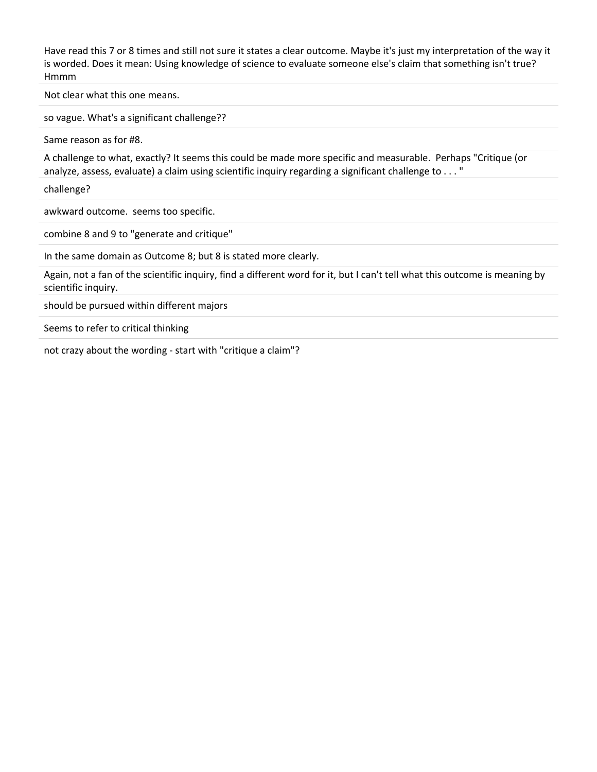Have read this 7 or 8 times and still not sure it states a clear outcome. Maybe it's just my interpretation of the way it is worded. Does it mean: Using knowledge of science to evaluate someone else's claim that something isn't true? Hmmm

Not clear what this one means.

so vague. What's a significant challenge??

Same reason as for #8.

A challenge to what, exactly? It seems this could be made more specific and measurable. Perhaps "Critique (or analyze, assess, evaluate) a claim using scientific inquiry regarding a significant challenge to . . . "

challenge?

awkward outcome. seems too specific.

combine 8 and 9 to "generate and critique"

In the same domain as Outcome 8; but 8 is stated more clearly.

Again, not a fan of the scientific inquiry, find a different word for it, but I can't tell what this outcome is meaning by scientific inquiry.

should be pursued within different majors

Seems to refer to critical thinking

not crazy about the wording - start with "critique a claim"?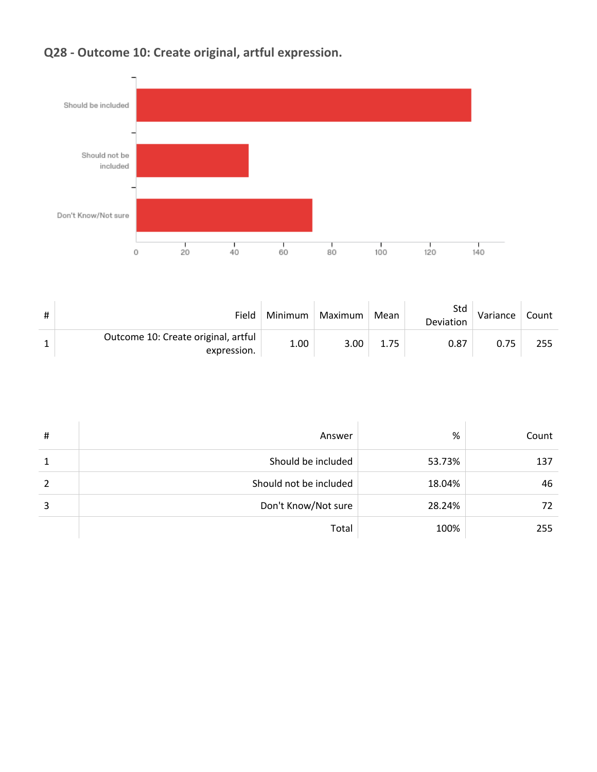



| # | Field                                              | Minimum | Maximum           | Mean | Std<br>Deviation | Variance | Count |
|---|----------------------------------------------------|---------|-------------------|------|------------------|----------|-------|
|   | Outcome 10: Create original, artful<br>expression. | 1.00    | 3.00 <sub>1</sub> | 1.75 | 0.87             | 0.75     | 255   |

| # | Answer                 | %      | Count |
|---|------------------------|--------|-------|
| 1 | Should be included     | 53.73% | 137   |
| 2 | Should not be included | 18.04% | 46    |
| 3 | Don't Know/Not sure    | 28.24% |       |
|   | Total                  | 100%   | 255   |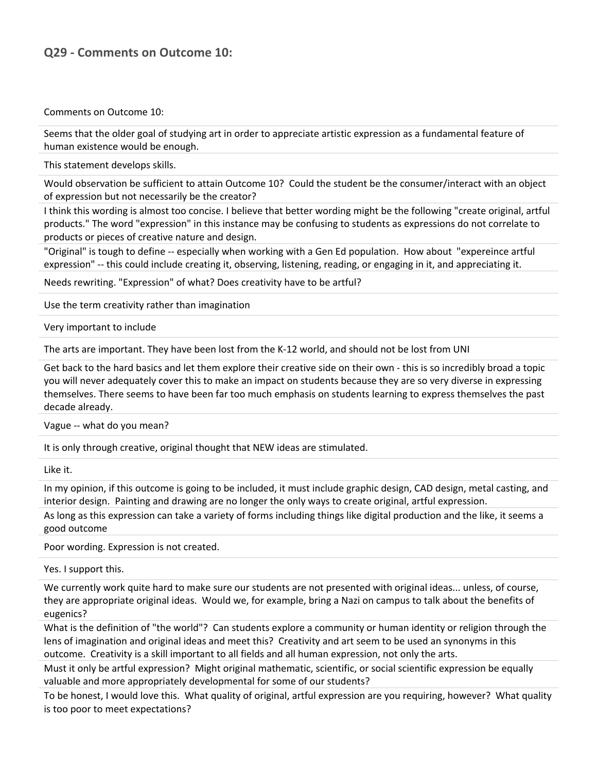# **Q29 - Comments on Outcome 10:**

#### Comments on Outcome 10:

Seems that the older goal of studying art in order to appreciate artistic expression as a fundamental feature of human existence would be enough.

This statement develops skills.

Would observation be sufficient to attain Outcome 10? Could the student be the consumer/interact with an object of expression but not necessarily be the creator?

I think this wording is almost too concise. I believe that better wording might be the following "create original, artful products." The word "expression" in this instance may be confusing to students as expressions do not correlate to products or pieces of creative nature and design.

"Original" is tough to define -- especially when working with a Gen Ed population. How about "expereince artful expression" -- this could include creating it, observing, listening, reading, or engaging in it, and appreciating it.

Needs rewriting. "Expression" of what? Does creativity have to be artful?

Use the term creativity rather than imagination

Very important to include

The arts are important. They have been lost from the K-12 world, and should not be lost from UNI

Get back to the hard basics and let them explore their creative side on their own - this is so incredibly broad a topic you will never adequately cover this to make an impact on students because they are so very diverse in expressing themselves. There seems to have been far too much emphasis on students learning to express themselves the past decade already.

Vague -- what do you mean?

It is only through creative, original thought that NEW ideas are stimulated.

Like it.

In my opinion, if this outcome is going to be included, it must include graphic design, CAD design, metal casting, and interior design. Painting and drawing are no longer the only ways to create original, artful expression.

As long as this expression can take a variety of forms including things like digital production and the like, it seems a good outcome

Poor wording. Expression is not created.

Yes. I support this.

We currently work quite hard to make sure our students are not presented with original ideas... unless, of course, they are appropriate original ideas. Would we, for example, bring a Nazi on campus to talk about the benefits of eugenics?

What is the definition of "the world"? Can students explore a community or human identity or religion through the lens of imagination and original ideas and meet this? Creativity and art seem to be used an synonyms in this outcome. Creativity is a skill important to all fields and all human expression, not only the arts.

Must it only be artful expression? Might original mathematic, scientific, or social scientific expression be equally valuable and more appropriately developmental for some of our students?

To be honest, I would love this. What quality of original, artful expression are you requiring, however? What quality is too poor to meet expectations?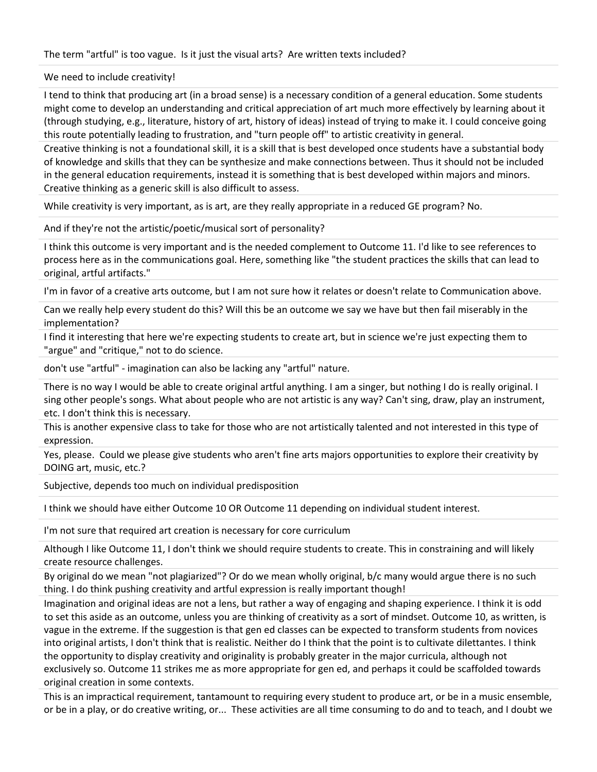The term "artful" is too vague. Is it just the visual arts? Are written texts included?

We need to include creativity!

I tend to think that producing art (in a broad sense) is a necessary condition of a general education. Some students might come to develop an understanding and critical appreciation of art much more effectively by learning about it (through studying, e.g., literature, history of art, history of ideas) instead of trying to make it. I could conceive going this route potentially leading to frustration, and "turn people off" to artistic creativity in general.

Creative thinking is not a foundational skill, it is a skill that is best developed once students have a substantial body of knowledge and skills that they can be synthesize and make connections between. Thus it should not be included in the general education requirements, instead it is something that is best developed within majors and minors. Creative thinking as a generic skill is also difficult to assess.

While creativity is very important, as is art, are they really appropriate in a reduced GE program? No.

And if they're not the artistic/poetic/musical sort of personality?

I think this outcome is very important and is the needed complement to Outcome 11. I'd like to see references to process here as in the communications goal. Here, something like "the student practices the skills that can lead to original, artful artifacts."

I'm in favor of a creative arts outcome, but I am not sure how it relates or doesn't relate to Communication above.

Can we really help every student do this? Will this be an outcome we say we have but then fail miserably in the implementation?

I find it interesting that here we're expecting students to create art, but in science we're just expecting them to "argue" and "critique," not to do science.

don't use "artful" - imagination can also be lacking any "artful" nature.

There is no way I would be able to create original artful anything. I am a singer, but nothing I do is really original. I sing other people's songs. What about people who are not artistic is any way? Can't sing, draw, play an instrument, etc. I don't think this is necessary.

This is another expensive class to take for those who are not artistically talented and not interested in this type of expression.

Yes, please. Could we please give students who aren't fine arts majors opportunities to explore their creativity by DOING art, music, etc.?

Subjective, depends too much on individual predisposition

I think we should have either Outcome 10 OR Outcome 11 depending on individual student interest.

I'm not sure that required art creation is necessary for core curriculum

Although I like Outcome 11, I don't think we should require students to create. This in constraining and will likely create resource challenges.

By original do we mean "not plagiarized"? Or do we mean wholly original, b/c many would argue there is no such thing. I do think pushing creativity and artful expression is really important though!

Imagination and original ideas are not a lens, but rather a way of engaging and shaping experience. I think it is odd to set this aside as an outcome, unless you are thinking of creativity as a sort of mindset. Outcome 10, as written, is vague in the extreme. If the suggestion is that gen ed classes can be expected to transform students from novices into original artists, I don't think that is realistic. Neither do I think that the point is to cultivate dilettantes. I think the opportunity to display creativity and originality is probably greater in the major curricula, although not exclusively so. Outcome 11 strikes me as more appropriate for gen ed, and perhaps it could be scaffolded towards original creation in some contexts.

This is an impractical requirement, tantamount to requiring every student to produce art, or be in a music ensemble, or be in a play, or do creative writing, or... These activities are all time consuming to do and to teach, and I doubt we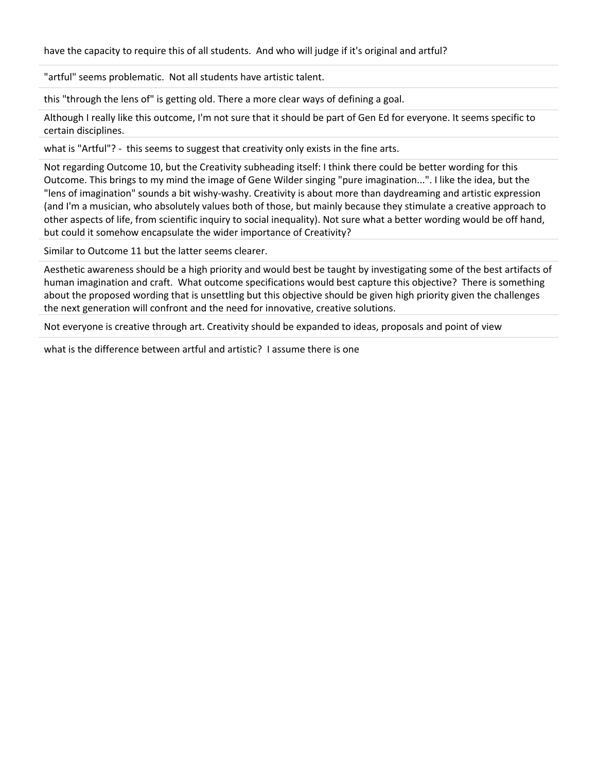have the capacity to require this of all students. And who will judge if it's original and artful?

"artful" seems problematic. Not all students have artistic talent.

this "through the lens of" is getting old. There a more clear ways of defining a goal.

Although I really like this outcome, I'm not sure that it should be part of Gen Ed for everyone. It seems specific to certain disciplines.

what is "Artful"? - this seems to suggest that creativity only exists in the fine arts.

Not regarding Outcome 10, but the Creativity subheading itself: I think there could be better wording for this Outcome. This brings to my mind the image of Gene Wilder singing "pure imagination...". I like the idea, but the "lens of imagination" sounds a bit wishy-washy. Creativity is about more than daydreaming and artistic expression (and I'm a musician, who absolutely values both of those, but mainly because they stimulate a creative approach to other aspects of life, from scientific inquiry to social inequality). Not sure what a better wording would be off hand, but could it somehow encapsulate the wider importance of Creativity?

Similar to Outcome 11 but the latter seems clearer.

Aesthetic awareness should be a high priority and would best be taught by investigating some of the best artifacts of human imagination and craft. What outcome specifications would best capture this objective? There is something about the proposed wording that is unsettling but this objective should be given high priority given the challenges the next generation will confront and the need for innovative, creative solutions.

Not everyone is creative through art. Creativity should be expanded to ideas, proposals and point of view

what is the difference between artful and artistic? I assume there is one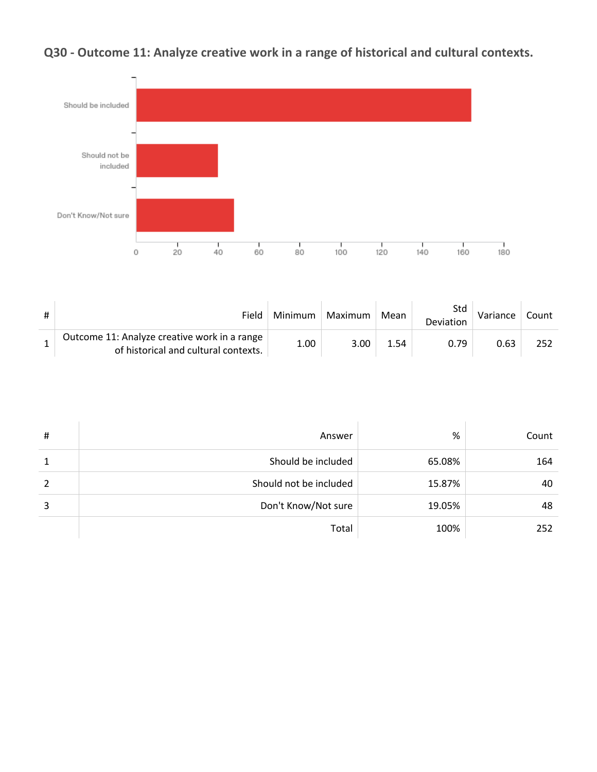

**Q30 - Outcome 11: Analyze creative work in a range of historical and cultural contexts.**

| # | Field                                                                                | Minimum | Maximum | Mean | Std<br>Deviation | Variance | Count |
|---|--------------------------------------------------------------------------------------|---------|---------|------|------------------|----------|-------|
|   | Outcome 11: Analyze creative work in a range<br>of historical and cultural contexts. | 1.00    | 3.00    | 154  | 0.79             | 0.63     |       |

| # | Answer                 | %      | Count |
|---|------------------------|--------|-------|
| 1 | Should be included     | 65.08% | 164   |
| 2 | Should not be included | 15.87% | 40    |
| 3 | Don't Know/Not sure    | 19.05% | 48    |
|   | Total                  | 100%   | 252   |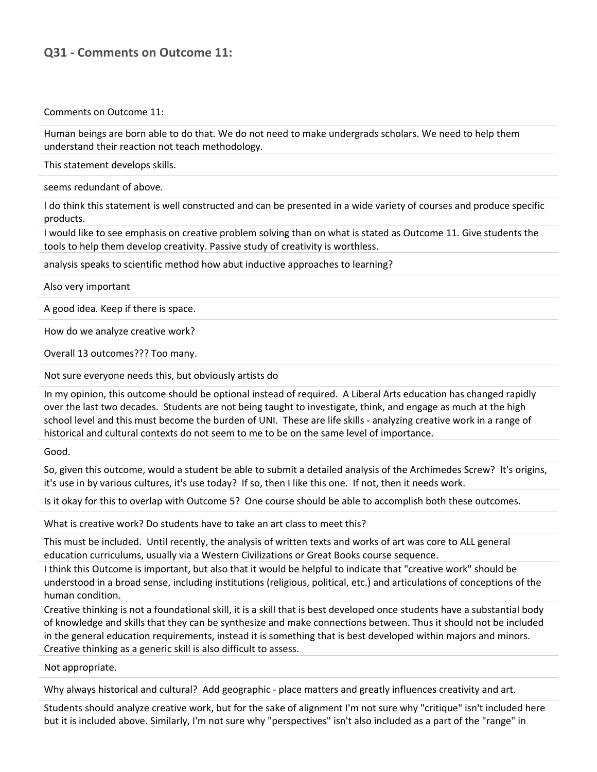# **Q31 - Comments on Outcome 11:**

Comments on Outcome 11:

Human beings are born able to do that. We do not need to make undergrads scholars. We need to help them understand their reaction not teach methodology.

This statement develops skills.

seems redundant of above.

I do think this statement is well constructed and can be presented in a wide variety of courses and produce specific products.

I would like to see emphasis on creative problem solving than on what is stated as Outcome 11. Give students the tools to help them develop creativity. Passive study of creativity is worthless.

analysis speaks to scientific method how abut inductive approaches to learning?

Also very important

A good idea. Keep if there is space.

How do we analyze creative work?

Overall 13 outcomes??? Too many.

Not sure everyone needs this, but obviously artists do

In my opinion, this outcome should be optional instead of required. A Liberal Arts education has changed rapidly over the last two decades. Students are not being taught to investigate, think, and engage as much at the high school level and this must become the burden of UNI. These are life skills - analyzing creative work in a range of historical and cultural contexts do not seem to me to be on the same level of importance.

Good.

So, given this outcome, would a student be able to submit a detailed analysis of the Archimedes Screw? It's origins, it's use in by various cultures, it's use today? If so, then I like this one. If not, then it needs work.

Is it okay for this to overlap with Outcome 5? One course should be able to accomplish both these outcomes.

What is creative work? Do students have to take an art class to meet this?

This must be included. Until recently, the analysis of written texts and works of art was core to ALL general education curriculums, usually via a Western Civilizations or Great Books course sequence.

I think this Outcome is important, but also that it would be helpful to indicate that "creative work" should be understood in a broad sense, including institutions (religious, political, etc.) and articulations of conceptions of the human condition.

Creative thinking is not a foundational skill, it is a skill that is best developed once students have a substantial body of knowledge and skills that they can be synthesize and make connections between. Thus it should not be included in the general education requirements, instead it is something that is best developed within majors and minors. Creative thinking as a generic skill is also difficult to assess.

Not appropriate.

Why always historical and cultural? Add geographic - place matters and greatly influences creativity and art.

Students should analyze creative work, but for the sake of alignment I'm not sure why "critique" isn't included here but it is included above. Similarly, I'm not sure why "perspectives" isn't also included as a part of the "range" in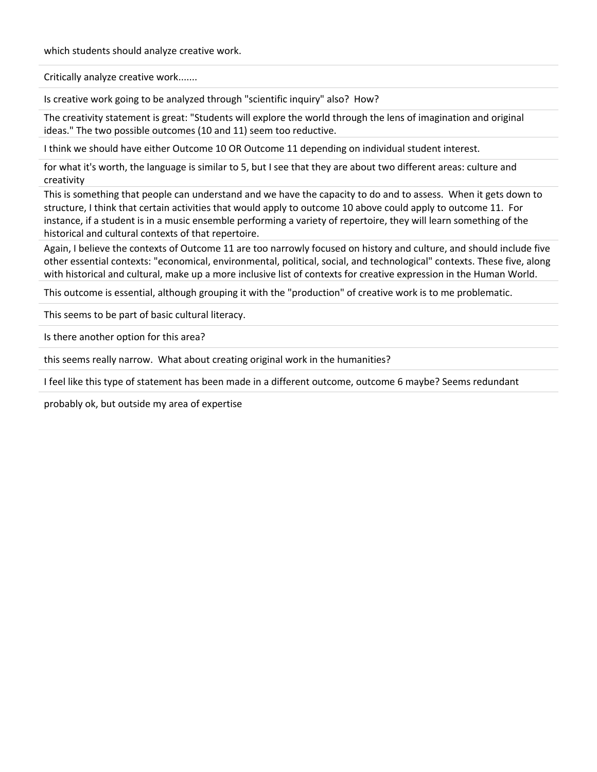which students should analyze creative work.

Critically analyze creative work.......

Is creative work going to be analyzed through "scientific inquiry" also? How?

The creativity statement is great: "Students will explore the world through the lens of imagination and original ideas." The two possible outcomes (10 and 11) seem too reductive.

I think we should have either Outcome 10 OR Outcome 11 depending on individual student interest.

for what it's worth, the language is similar to 5, but I see that they are about two different areas: culture and creativity

This is something that people can understand and we have the capacity to do and to assess. When it gets down to structure, I think that certain activities that would apply to outcome 10 above could apply to outcome 11. For instance, if a student is in a music ensemble performing a variety of repertoire, they will learn something of the historical and cultural contexts of that repertoire.

Again, I believe the contexts of Outcome 11 are too narrowly focused on history and culture, and should include five other essential contexts: "economical, environmental, political, social, and technological" contexts. These five, along with historical and cultural, make up a more inclusive list of contexts for creative expression in the Human World.

This outcome is essential, although grouping it with the "production" of creative work is to me problematic.

This seems to be part of basic cultural literacy.

Is there another option for this area?

this seems really narrow. What about creating original work in the humanities?

I feel like this type of statement has been made in a different outcome, outcome 6 maybe? Seems redundant

probably ok, but outside my area of expertise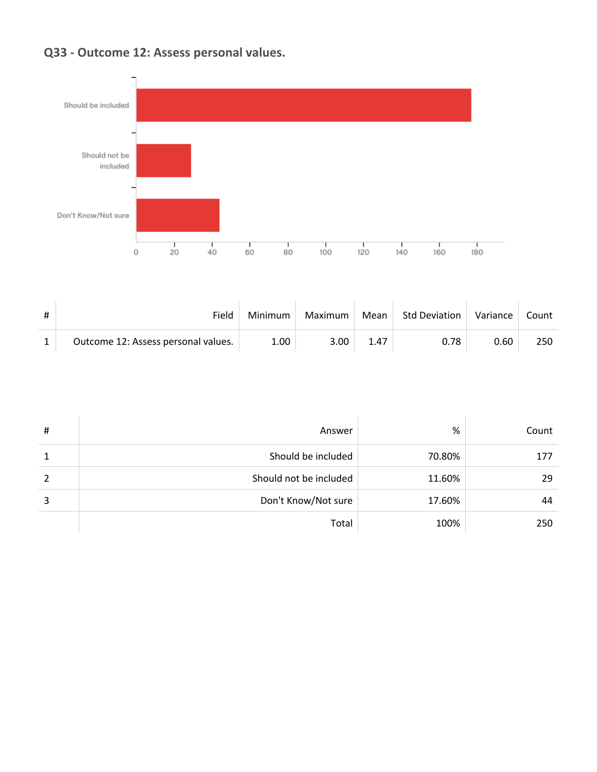# **Q33 - Outcome 12: Assess personal values.**



| Field                               | Minimum | Maximum | Mean | <b>Std Deviation</b> | Variance | Count |
|-------------------------------------|---------|---------|------|----------------------|----------|-------|
| Outcome 12: Assess personal values. | 1.00    | 3.00    | 1.47 | 0.78                 | 0.60     | 250   |

| #              | Answer                 | %      | Count |
|----------------|------------------------|--------|-------|
|                | Should be included     | 70.80% | 177   |
| $\overline{2}$ | Should not be included | 11.60% | 29    |
| 3              | Don't Know/Not sure    | 17.60% | 44    |
|                | Total                  | 100%   | 250   |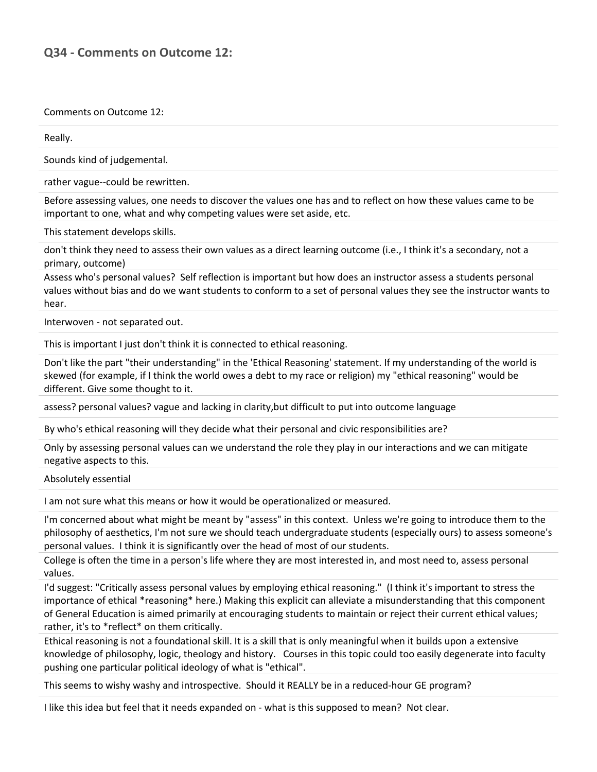# **Q34 - Comments on Outcome 12:**

Comments on Outcome 12:

Really.

Sounds kind of judgemental.

rather vague--could be rewritten.

Before assessing values, one needs to discover the values one has and to reflect on how these values came to be important to one, what and why competing values were set aside, etc.

This statement develops skills.

don't think they need to assess their own values as a direct learning outcome (i.e., I think it's a secondary, not a primary, outcome)

Assess who's personal values? Self reflection is important but how does an instructor assess a students personal values without bias and do we want students to conform to a set of personal values they see the instructor wants to hear.

Interwoven - not separated out.

This is important I just don't think it is connected to ethical reasoning.

Don't like the part "their understanding" in the 'Ethical Reasoning' statement. If my understanding of the world is skewed (for example, if I think the world owes a debt to my race or religion) my "ethical reasoning" would be different. Give some thought to it.

assess? personal values? vague and lacking in clarity,but difficult to put into outcome language

By who's ethical reasoning will they decide what their personal and civic responsibilities are?

Only by assessing personal values can we understand the role they play in our interactions and we can mitigate negative aspects to this.

Absolutely essential

I am not sure what this means or how it would be operationalized or measured.

I'm concerned about what might be meant by "assess" in this context. Unless we're going to introduce them to the philosophy of aesthetics, I'm not sure we should teach undergraduate students (especially ours) to assess someone's personal values. I think it is significantly over the head of most of our students.

College is often the time in a person's life where they are most interested in, and most need to, assess personal values.

I'd suggest: "Critically assess personal values by employing ethical reasoning." (I think it's important to stress the importance of ethical \*reasoning\* here.) Making this explicit can alleviate a misunderstanding that this component of General Education is aimed primarily at encouraging students to maintain or reject their current ethical values; rather, it's to \*reflect\* on them critically.

Ethical reasoning is not a foundational skill. It is a skill that is only meaningful when it builds upon a extensive knowledge of philosophy, logic, theology and history. Courses in this topic could too easily degenerate into faculty pushing one particular political ideology of what is "ethical".

This seems to wishy washy and introspective. Should it REALLY be in a reduced-hour GE program?

I like this idea but feel that it needs expanded on - what is this supposed to mean? Not clear.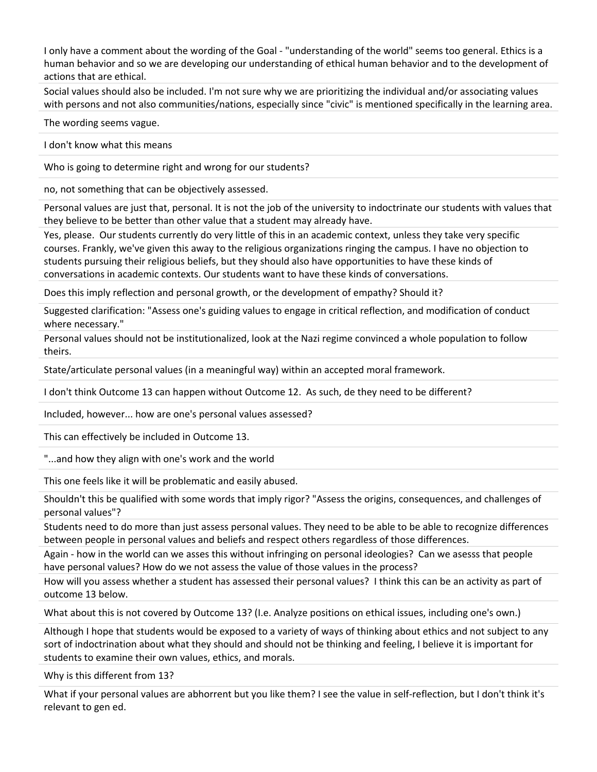I only have a comment about the wording of the Goal - "understanding of the world" seems too general. Ethics is a human behavior and so we are developing our understanding of ethical human behavior and to the development of actions that are ethical.

Social values should also be included. I'm not sure why we are prioritizing the individual and/or associating values with persons and not also communities/nations, especially since "civic" is mentioned specifically in the learning area.

The wording seems vague.

I don't know what this means

Who is going to determine right and wrong for our students?

no, not something that can be objectively assessed.

Personal values are just that, personal. It is not the job of the university to indoctrinate our students with values that they believe to be better than other value that a student may already have.

Yes, please. Our students currently do very little of this in an academic context, unless they take very specific courses. Frankly, we've given this away to the religious organizations ringing the campus. I have no objection to students pursuing their religious beliefs, but they should also have opportunities to have these kinds of conversations in academic contexts. Our students want to have these kinds of conversations.

Does this imply reflection and personal growth, or the development of empathy? Should it?

Suggested clarification: "Assess one's guiding values to engage in critical reflection, and modification of conduct where necessary."

Personal values should not be institutionalized, look at the Nazi regime convinced a whole population to follow theirs.

State/articulate personal values (in a meaningful way) within an accepted moral framework.

I don't think Outcome 13 can happen without Outcome 12. As such, de they need to be different?

Included, however... how are one's personal values assessed?

This can effectively be included in Outcome 13.

"...and how they align with one's work and the world

This one feels like it will be problematic and easily abused.

Shouldn't this be qualified with some words that imply rigor? "Assess the origins, consequences, and challenges of personal values"?

Students need to do more than just assess personal values. They need to be able to be able to recognize differences between people in personal values and beliefs and respect others regardless of those differences.

Again - how in the world can we asses this without infringing on personal ideologies? Can we asesss that people have personal values? How do we not assess the value of those values in the process?

How will you assess whether a student has assessed their personal values? I think this can be an activity as part of outcome 13 below.

What about this is not covered by Outcome 13? (I.e. Analyze positions on ethical issues, including one's own.)

Although I hope that students would be exposed to a variety of ways of thinking about ethics and not subject to any sort of indoctrination about what they should and should not be thinking and feeling, I believe it is important for students to examine their own values, ethics, and morals.

Why is this different from 13?

What if your personal values are abhorrent but you like them? I see the value in self-reflection, but I don't think it's relevant to gen ed.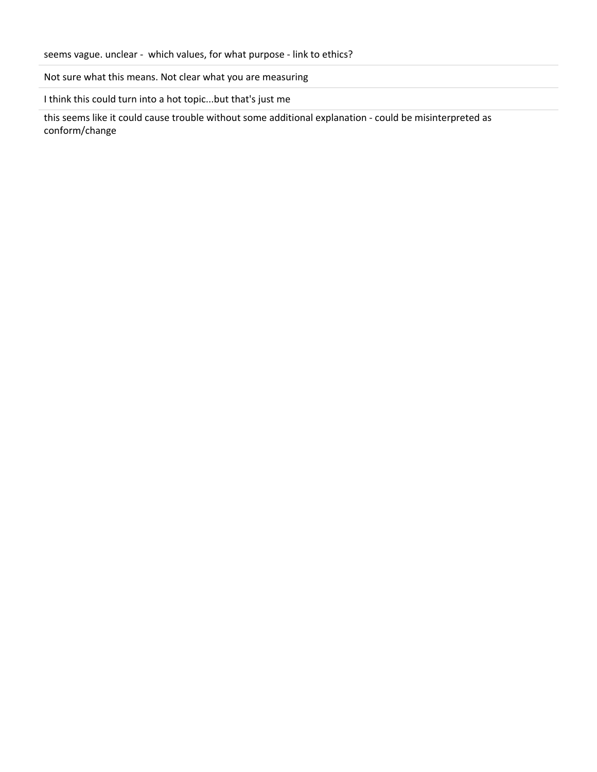Not sure what this means. Not clear what you are measuring

I think this could turn into a hot topic...but that's just me

this seems like it could cause trouble without some additional explanation - could be misinterpreted as conform/change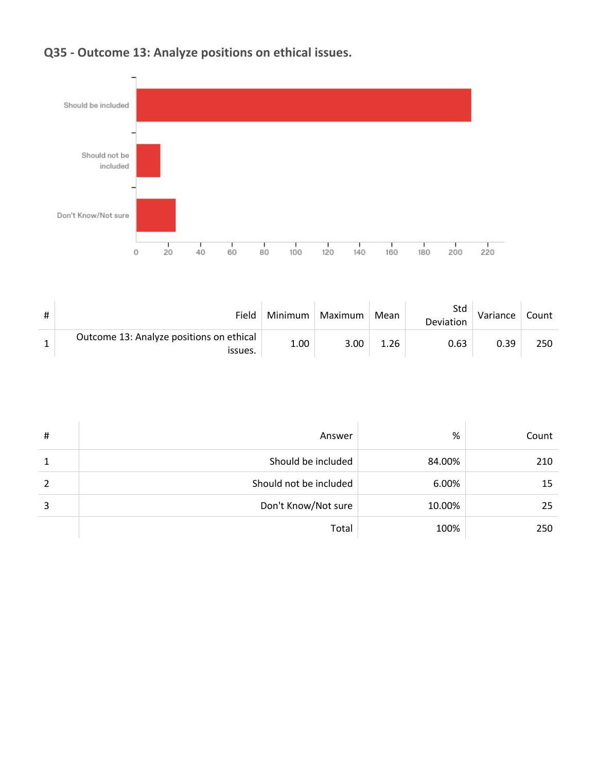



| # | Field                                               | Minimum | Maximum | Mean | Std<br><b>Deviation</b> | Variance | Count |
|---|-----------------------------------------------------|---------|---------|------|-------------------------|----------|-------|
|   | Outcome 13: Analyze positions on ethical<br>issues. | 1.00    | 3.00    | .26. | 0.63                    | 0.39     | 250   |

| # | Answer                 | %      | Count |
|---|------------------------|--------|-------|
| 1 | Should be included     | 84.00% | 210   |
| 2 | Should not be included | 6.00%  | 15    |
| 3 | Don't Know/Not sure    | 10.00% | 25    |
|   | Total                  | 100%   | 250   |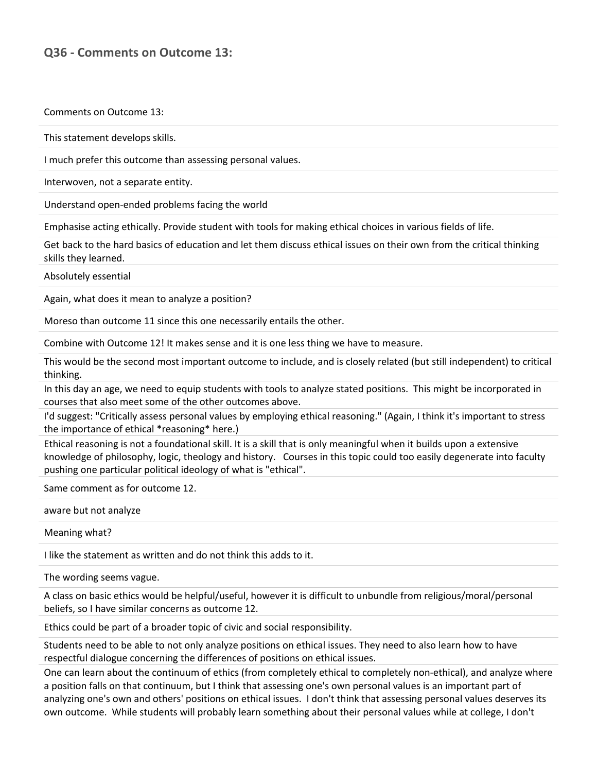# **Q36 - Comments on Outcome 13:**

Comments on Outcome 13:

This statement develops skills.

I much prefer this outcome than assessing personal values.

Interwoven, not a separate entity.

Understand open-ended problems facing the world

Emphasise acting ethically. Provide student with tools for making ethical choices in various fields of life.

Get back to the hard basics of education and let them discuss ethical issues on their own from the critical thinking skills they learned.

Absolutely essential

Again, what does it mean to analyze a position?

Moreso than outcome 11 since this one necessarily entails the other.

Combine with Outcome 12! It makes sense and it is one less thing we have to measure.

This would be the second most important outcome to include, and is closely related (but still independent) to critical thinking.

In this day an age, we need to equip students with tools to analyze stated positions. This might be incorporated in courses that also meet some of the other outcomes above.

I'd suggest: "Critically assess personal values by employing ethical reasoning." (Again, I think it's important to stress the importance of ethical \*reasoning\* here.)

Ethical reasoning is not a foundational skill. It is a skill that is only meaningful when it builds upon a extensive knowledge of philosophy, logic, theology and history. Courses in this topic could too easily degenerate into faculty pushing one particular political ideology of what is "ethical".

Same comment as for outcome 12.

aware but not analyze

Meaning what?

I like the statement as written and do not think this adds to it.

The wording seems vague.

A class on basic ethics would be helpful/useful, however it is difficult to unbundle from religious/moral/personal beliefs, so I have similar concerns as outcome 12.

Ethics could be part of a broader topic of civic and social responsibility.

Students need to be able to not only analyze positions on ethical issues. They need to also learn how to have respectful dialogue concerning the differences of positions on ethical issues.

One can learn about the continuum of ethics (from completely ethical to completely non-ethical), and analyze where a position falls on that continuum, but I think that assessing one's own personal values is an important part of analyzing one's own and others' positions on ethical issues. I don't think that assessing personal values deserves its own outcome. While students will probably learn something about their personal values while at college, I don't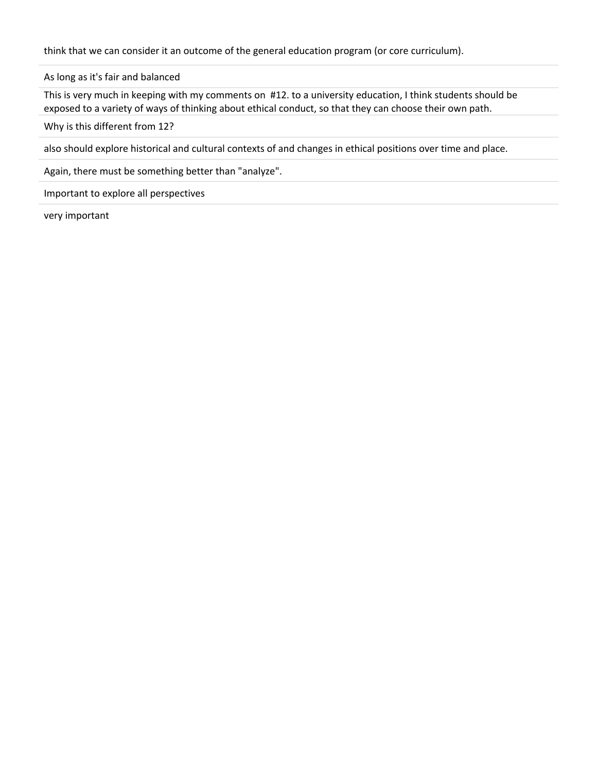think that we can consider it an outcome of the general education program (or core curriculum).

As long as it's fair and balanced

This is very much in keeping with my comments on #12. to a university education, I think students should be exposed to a variety of ways of thinking about ethical conduct, so that they can choose their own path.

Why is this different from 12?

also should explore historical and cultural contexts of and changes in ethical positions over time and place.

Again, there must be something better than "analyze".

Important to explore all perspectives

very important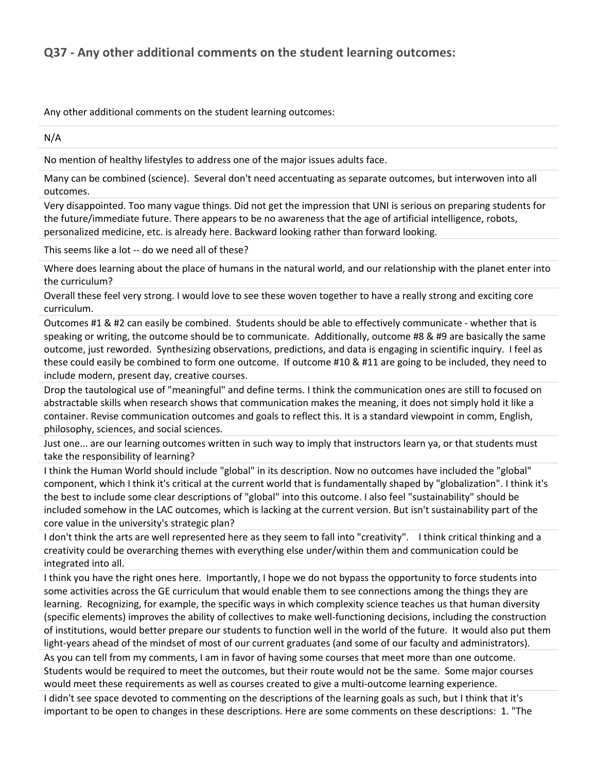# **Q37 - Any other additional comments on the student learning outcomes:**

Any other additional comments on the student learning outcomes:

N/A

No mention of healthy lifestyles to address one of the major issues adults face.

Many can be combined (science). Several don't need accentuating as separate outcomes, but interwoven into all outcomes.

Very disappointed. Too many vague things. Did not get the impression that UNI is serious on preparing students for the future/immediate future. There appears to be no awareness that the age of artificial intelligence, robots, personalized medicine, etc. is already here. Backward looking rather than forward looking.

This seems like a lot -- do we need all of these?

Where does learning about the place of humans in the natural world, and our relationship with the planet enter into the curriculum?

Overall these feel very strong. I would love to see these woven together to have a really strong and exciting core curriculum.

Outcomes #1 & #2 can easily be combined. Students should be able to effectively communicate - whether that is speaking or writing, the outcome should be to communicate. Additionally, outcome #8 & #9 are basically the same outcome, just reworded. Synthesizing observations, predictions, and data is engaging in scientific inquiry. I feel as these could easily be combined to form one outcome. If outcome #10 & #11 are going to be included, they need to include modern, present day, creative courses.

Drop the tautological use of "meaningful" and define terms. I think the communication ones are still to focused on abstractable skills when research shows that communication makes the meaning, it does not simply hold it like a container. Revise communication outcomes and goals to reflect this. It is a standard viewpoint in comm, English, philosophy, sciences, and social sciences.

Just one... are our learning outcomes written in such way to imply that instructors learn ya, or that students must take the responsibility of learning?

I think the Human World should include "global" in its description. Now no outcomes have included the "global" component, which I think it's critical at the current world that is fundamentally shaped by "globalization". I think it's the best to include some clear descriptions of "global" into this outcome. I also feel "sustainability" should be included somehow in the LAC outcomes, which is lacking at the current version. But isn't sustainability part of the core value in the university's strategic plan?

I don't think the arts are well represented here as they seem to fall into "creativity". I think critical thinking and a creativity could be overarching themes with everything else under/within them and communication could be integrated into all.

I think you have the right ones here. Importantly, I hope we do not bypass the opportunity to force students into some activities across the GE curriculum that would enable them to see connections among the things they are learning. Recognizing, for example, the specific ways in which complexity science teaches us that human diversity (specific elements) improves the ability of collectives to make well-functioning decisions, including the construction of institutions, would better prepare our students to function well in the world of the future. It would also put them light-years ahead of the mindset of most of our current graduates (and some of our faculty and administrators).

As you can tell from my comments, I am in favor of having some courses that meet more than one outcome. Students would be required to meet the outcomes, but their route would not be the same. Some major courses would meet these requirements as well as courses created to give a multi-outcome learning experience.

I didn't see space devoted to commenting on the descriptions of the learning goals as such, but I think that it's important to be open to changes in these descriptions. Here are some comments on these descriptions: 1. "The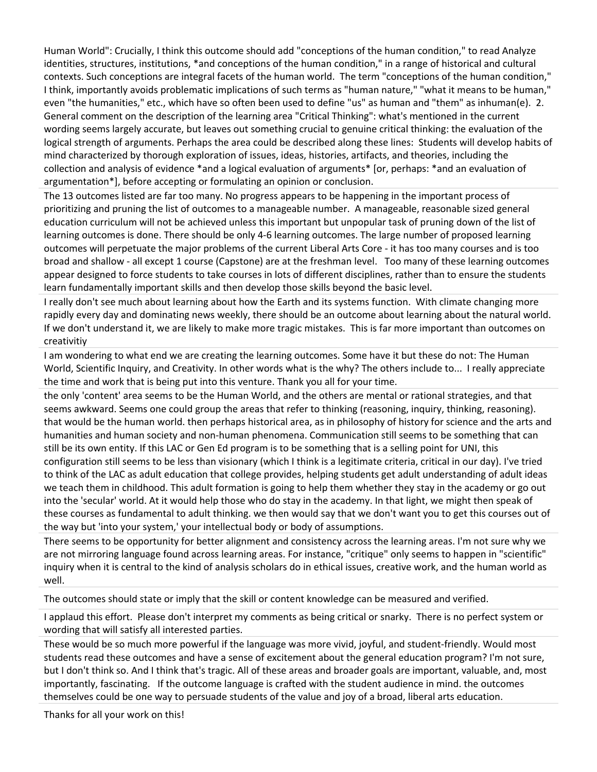Human World": Crucially, I think this outcome should add "conceptions of the human condition," to read Analyze identities, structures, institutions, \*and conceptions of the human condition," in a range of historical and cultural contexts. Such conceptions are integral facets of the human world. The term "conceptions of the human condition," I think, importantly avoids problematic implications of such terms as "human nature," "what it means to be human," even "the humanities," etc., which have so often been used to define "us" as human and "them" as inhuman(e). 2. General comment on the description of the learning area "Critical Thinking": what's mentioned in the current wording seems largely accurate, but leaves out something crucial to genuine critical thinking: the evaluation of the logical strength of arguments. Perhaps the area could be described along these lines: Students will develop habits of mind characterized by thorough exploration of issues, ideas, histories, artifacts, and theories, including the collection and analysis of evidence \*and a logical evaluation of arguments\* [or, perhaps: \*and an evaluation of argumentation\*], before accepting or formulating an opinion or conclusion.

The 13 outcomes listed are far too many. No progress appears to be happening in the important process of prioritizing and pruning the list of outcomes to a manageable number. A manageable, reasonable sized general education curriculum will not be achieved unless this important but unpopular task of pruning down of the list of learning outcomes is done. There should be only 4-6 learning outcomes. The large number of proposed learning outcomes will perpetuate the major problems of the current Liberal Arts Core - it has too many courses and is too broad and shallow - all except 1 course (Capstone) are at the freshman level. Too many of these learning outcomes appear designed to force students to take courses in lots of different disciplines, rather than to ensure the students learn fundamentally important skills and then develop those skills beyond the basic level.

I really don't see much about learning about how the Earth and its systems function. With climate changing more rapidly every day and dominating news weekly, there should be an outcome about learning about the natural world. If we don't understand it, we are likely to make more tragic mistakes. This is far more important than outcomes on creativitiy

I am wondering to what end we are creating the learning outcomes. Some have it but these do not: The Human World, Scientific Inquiry, and Creativity. In other words what is the why? The others include to... I really appreciate the time and work that is being put into this venture. Thank you all for your time.

the only 'content' area seems to be the Human World, and the others are mental or rational strategies, and that seems awkward. Seems one could group the areas that refer to thinking (reasoning, inquiry, thinking, reasoning). that would be the human world. then perhaps historical area, as in philosophy of history for science and the arts and humanities and human society and non-human phenomena. Communication still seems to be something that can still be its own entity. If this LAC or Gen Ed program is to be something that is a selling point for UNI, this configuration still seems to be less than visionary (which I think is a legitimate criteria, critical in our day). I've tried to think of the LAC as adult education that college provides, helping students get adult understanding of adult ideas we teach them in childhood. This adult formation is going to help them whether they stay in the academy or go out into the 'secular' world. At it would help those who do stay in the academy. In that light, we might then speak of these courses as fundamental to adult thinking. we then would say that we don't want you to get this courses out of the way but 'into your system,' your intellectual body or body of assumptions.

There seems to be opportunity for better alignment and consistency across the learning areas. I'm not sure why we are not mirroring language found across learning areas. For instance, "critique" only seems to happen in "scientific" inquiry when it is central to the kind of analysis scholars do in ethical issues, creative work, and the human world as well.

The outcomes should state or imply that the skill or content knowledge can be measured and verified.

I applaud this effort. Please don't interpret my comments as being critical or snarky. There is no perfect system or wording that will satisfy all interested parties.

These would be so much more powerful if the language was more vivid, joyful, and student-friendly. Would most students read these outcomes and have a sense of excitement about the general education program? I'm not sure, but I don't think so. And I think that's tragic. All of these areas and broader goals are important, valuable, and, most importantly, fascinating. If the outcome language is crafted with the student audience in mind. the outcomes themselves could be one way to persuade students of the value and joy of a broad, liberal arts education.

Thanks for all your work on this!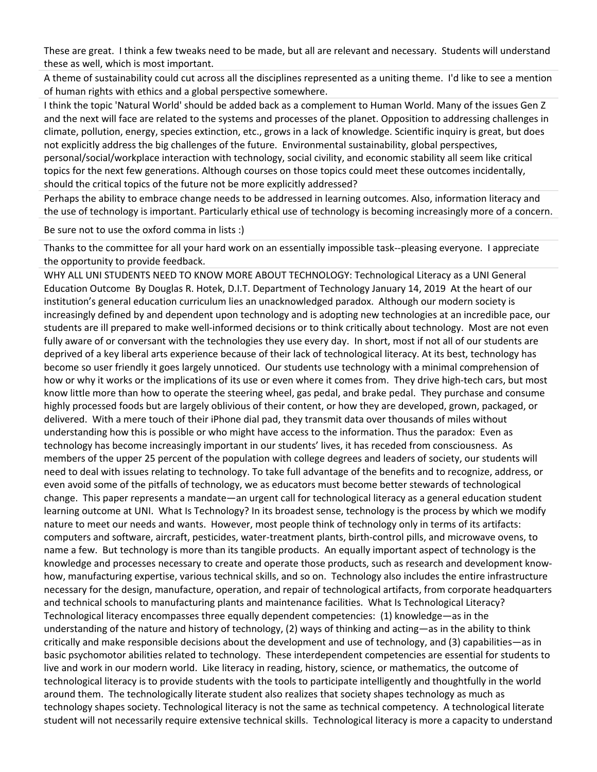These are great. I think a few tweaks need to be made, but all are relevant and necessary. Students will understand these as well, which is most important.

A theme of sustainability could cut across all the disciplines represented as a uniting theme. I'd like to see a mention of human rights with ethics and a global perspective somewhere.

I think the topic 'Natural World' should be added back as a complement to Human World. Many of the issues Gen Z and the next will face are related to the systems and processes of the planet. Opposition to addressing challenges in climate, pollution, energy, species extinction, etc., grows in a lack of knowledge. Scientific inquiry is great, but does not explicitly address the big challenges of the future. Environmental sustainability, global perspectives, personal/social/workplace interaction with technology, social civility, and economic stability all seem like critical topics for the next few generations. Although courses on those topics could meet these outcomes incidentally, should the critical topics of the future not be more explicitly addressed?

Perhaps the ability to embrace change needs to be addressed in learning outcomes. Also, information literacy and the use of technology is important. Particularly ethical use of technology is becoming increasingly more of a concern.

Be sure not to use the oxford comma in lists :)

Thanks to the committee for all your hard work on an essentially impossible task--pleasing everyone. I appreciate the opportunity to provide feedback.

WHY ALL UNI STUDENTS NEED TO KNOW MORE ABOUT TECHNOLOGY: Technological Literacy as a UNI General Education Outcome By Douglas R. Hotek, D.I.T. Department of Technology January 14, 2019 At the heart of our institution's general education curriculum lies an unacknowledged paradox. Although our modern society is increasingly defined by and dependent upon technology and is adopting new technologies at an incredible pace, our students are ill prepared to make well-informed decisions or to think critically about technology. Most are not even fully aware of or conversant with the technologies they use every day. In short, most if not all of our students are deprived of a key liberal arts experience because of their lack of technological literacy. At its best, technology has become so user friendly it goes largely unnoticed. Our students use technology with a minimal comprehension of how or why it works or the implications of its use or even where it comes from. They drive high-tech cars, but most know little more than how to operate the steering wheel, gas pedal, and brake pedal. They purchase and consume highly processed foods but are largely oblivious of their content, or how they are developed, grown, packaged, or delivered. With a mere touch of their iPhone dial pad, they transmit data over thousands of miles without understanding how this is possible or who might have access to the information. Thus the paradox: Even as technology has become increasingly important in our students' lives, it has receded from consciousness. As members of the upper 25 percent of the population with college degrees and leaders of society, our students will need to deal with issues relating to technology. To take full advantage of the benefits and to recognize, address, or even avoid some of the pitfalls of technology, we as educators must become better stewards of technological change. This paper represents a mandate—an urgent call for technological literacy as a general education student learning outcome at UNI. What Is Technology? In its broadest sense, technology is the process by which we modify nature to meet our needs and wants. However, most people think of technology only in terms of its artifacts: computers and software, aircraft, pesticides, water-treatment plants, birth-control pills, and microwave ovens, to name a few. But technology is more than its tangible products. An equally important aspect of technology is the knowledge and processes necessary to create and operate those products, such as research and development knowhow, manufacturing expertise, various technical skills, and so on. Technology also includes the entire infrastructure necessary for the design, manufacture, operation, and repair of technological artifacts, from corporate headquarters and technical schools to manufacturing plants and maintenance facilities. What Is Technological Literacy? Technological literacy encompasses three equally dependent competencies: (1) knowledge—as in the understanding of the nature and history of technology, (2) ways of thinking and acting—as in the ability to think critically and make responsible decisions about the development and use of technology, and (3) capabilities—as in basic psychomotor abilities related to technology. These interdependent competencies are essential for students to live and work in our modern world. Like literacy in reading, history, science, or mathematics, the outcome of technological literacy is to provide students with the tools to participate intelligently and thoughtfully in the world around them. The technologically literate student also realizes that society shapes technology as much as technology shapes society. Technological literacy is not the same as technical competency. A technological literate student will not necessarily require extensive technical skills. Technological literacy is more a capacity to understand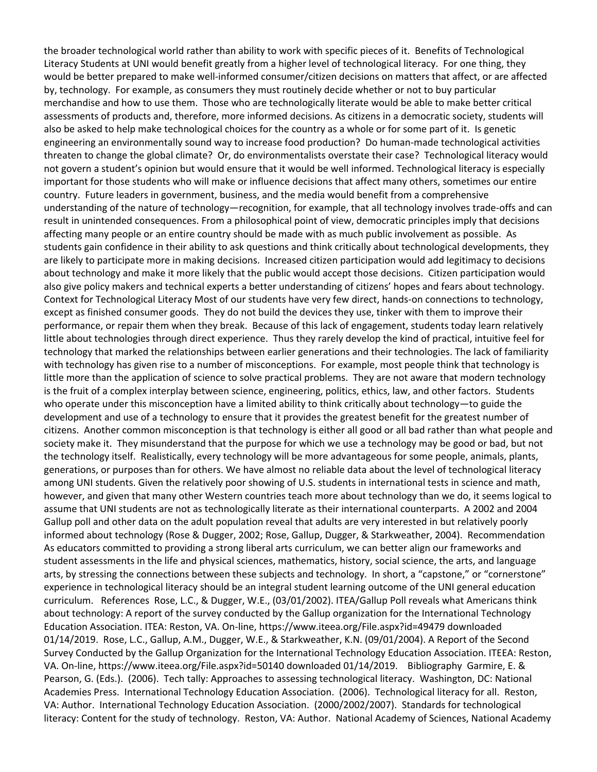the broader technological world rather than ability to work with specific pieces of it. Benefits of Technological Literacy Students at UNI would benefit greatly from a higher level of technological literacy. For one thing, they would be better prepared to make well-informed consumer/citizen decisions on matters that affect, or are affected by, technology. For example, as consumers they must routinely decide whether or not to buy particular merchandise and how to use them. Those who are technologically literate would be able to make better critical assessments of products and, therefore, more informed decisions. As citizens in a democratic society, students will also be asked to help make technological choices for the country as a whole or for some part of it. Is genetic engineering an environmentally sound way to increase food production? Do human-made technological activities threaten to change the global climate? Or, do environmentalists overstate their case? Technological literacy would not govern a student's opinion but would ensure that it would be well informed. Technological literacy is especially important for those students who will make or influence decisions that affect many others, sometimes our entire country. Future leaders in government, business, and the media would benefit from a comprehensive understanding of the nature of technology—recognition, for example, that all technology involves trade-offs and can result in unintended consequences. From a philosophical point of view, democratic principles imply that decisions affecting many people or an entire country should be made with as much public involvement as possible. As students gain confidence in their ability to ask questions and think critically about technological developments, they are likely to participate more in making decisions. Increased citizen participation would add legitimacy to decisions about technology and make it more likely that the public would accept those decisions. Citizen participation would also give policy makers and technical experts a better understanding of citizens' hopes and fears about technology. Context for Technological Literacy Most of our students have very few direct, hands-on connections to technology, except as finished consumer goods. They do not build the devices they use, tinker with them to improve their performance, or repair them when they break. Because of this lack of engagement, students today learn relatively little about technologies through direct experience. Thus they rarely develop the kind of practical, intuitive feel for technology that marked the relationships between earlier generations and their technologies. The lack of familiarity with technology has given rise to a number of misconceptions. For example, most people think that technology is little more than the application of science to solve practical problems. They are not aware that modern technology is the fruit of a complex interplay between science, engineering, politics, ethics, law, and other factors. Students who operate under this misconception have a limited ability to think critically about technology—to guide the development and use of a technology to ensure that it provides the greatest benefit for the greatest number of citizens. Another common misconception is that technology is either all good or all bad rather than what people and society make it. They misunderstand that the purpose for which we use a technology may be good or bad, but not the technology itself. Realistically, every technology will be more advantageous for some people, animals, plants, generations, or purposes than for others. We have almost no reliable data about the level of technological literacy among UNI students. Given the relatively poor showing of U.S. students in international tests in science and math, however, and given that many other Western countries teach more about technology than we do, it seems logical to assume that UNI students are not as technologically literate as their international counterparts. A 2002 and 2004 Gallup poll and other data on the adult population reveal that adults are very interested in but relatively poorly informed about technology (Rose & Dugger, 2002; Rose, Gallup, Dugger, & Starkweather, 2004). Recommendation As educators committed to providing a strong liberal arts curriculum, we can better align our frameworks and student assessments in the life and physical sciences, mathematics, history, social science, the arts, and language arts, by stressing the connections between these subjects and technology. In short, a "capstone," or "cornerstone" experience in technological literacy should be an integral student learning outcome of the UNI general education curriculum. References Rose, L.C., & Dugger, W.E., (03/01/2002). ITEA/Gallup Poll reveals what Americans think about technology: A report of the survey conducted by the Gallup organization for the International Technology Education Association. ITEA: Reston, VA. On-line, https://www.iteea.org/File.aspx?id=49479 downloaded 01/14/2019. Rose, L.C., Gallup, A.M., Dugger, W.E., & Starkweather, K.N. (09/01/2004). A Report of the Second Survey Conducted by the Gallup Organization for the International Technology Education Association. ITEEA: Reston, VA. On-line, https://www.iteea.org/File.aspx?id=50140 downloaded 01/14/2019. Bibliography Garmire, E. & Pearson, G. (Eds.). (2006). Tech tally: Approaches to assessing technological literacy. Washington, DC: National Academies Press. International Technology Education Association. (2006). Technological literacy for all. Reston, VA: Author. International Technology Education Association. (2000/2002/2007). Standards for technological literacy: Content for the study of technology. Reston, VA: Author. National Academy of Sciences, National Academy